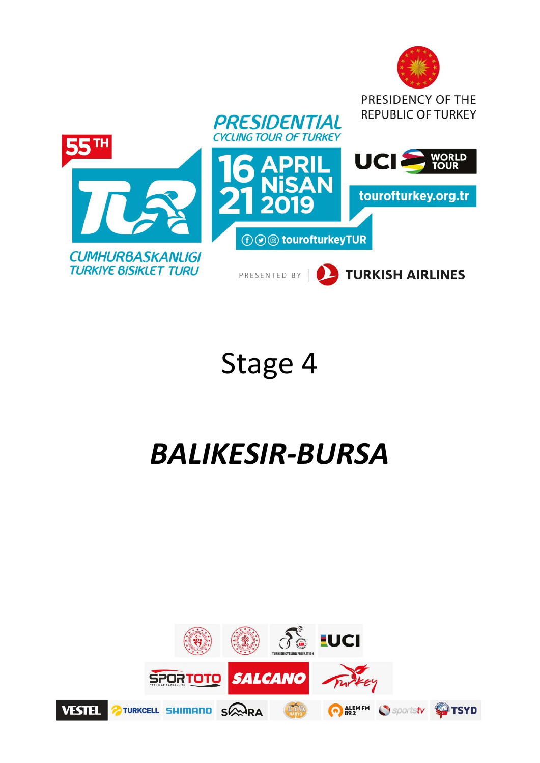

# Stage 4

# *BALIKESIR‐BURSA*

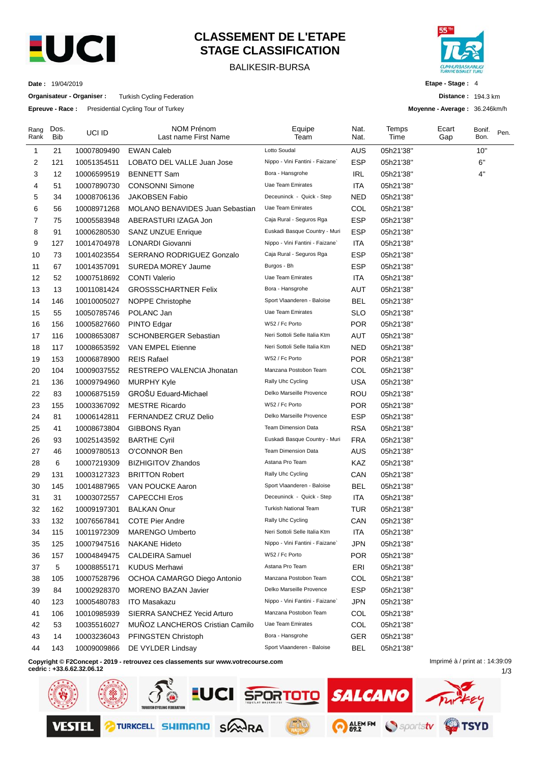

# **CLASSEMENT DE L'ETAPE STAGE CLASSIFICATION**

BALIKESIR-BURSA



**Etape - Stage :** 4

**Distance :** 194.3 km **Moyenne - Average :** 36.246km/h

1/3

**Date :** 19/04/2019

**Organisateur - Organiser :** Turkish Cycling Federation

**Epreuve - Race :** Presidential Cycling Tour of Turkey

| Rang<br>Rank | Dos.<br><b>Bib</b> | UCI ID      | <b>NOM Prénom</b><br>Last name First Name                                        | Equipe<br>Team                  | Nat.<br>Nat. | Temps<br>Time | Ecart<br>Gap                    | Bonif.<br>Bon. | Pen. |
|--------------|--------------------|-------------|----------------------------------------------------------------------------------|---------------------------------|--------------|---------------|---------------------------------|----------------|------|
| -1           | 21                 | 10007809490 | <b>EWAN Caleb</b>                                                                | Lotto Soudal                    | AUS          | 05h21'38"     |                                 | 10"            |      |
| 2            | 121                | 10051354511 | LOBATO DEL VALLE Juan Jose                                                       | Nippo - Vini Fantini - Faizane` | ESP          | 05h21'38"     |                                 | 6"             |      |
| 3            | 12                 | 10006599519 | <b>BENNETT Sam</b>                                                               | Bora - Hansgrohe                | <b>IRL</b>   | 05h21'38"     |                                 | 4"             |      |
| 4            | 51                 | 10007890730 | <b>CONSONNI Simone</b>                                                           | Uae Team Emirates               | ITA          | 05h21'38"     |                                 |                |      |
| 5            | 34                 | 10008706136 | <b>JAKOBSEN Fabio</b>                                                            | Deceuninck - Quick - Step       | NED          | 05h21'38"     |                                 |                |      |
| 6            | 56                 | 10008971268 | <b>MOLANO BENAVIDES Juan Sebastian</b>                                           | <b>Uae Team Emirates</b>        | COL          | 05h21'38"     |                                 |                |      |
| 7            | 75                 | 10005583948 | ABERASTURI IZAGA Jon                                                             | Caja Rural - Seguros Rga        | <b>ESP</b>   | 05h21'38"     |                                 |                |      |
| 8            | 91                 | 10006280530 | <b>SANZ UNZUE Enrique</b>                                                        | Euskadi Basque Country - Muri   | ESP          | 05h21'38"     |                                 |                |      |
| 9            | 127                | 10014704978 | <b>LONARDI Giovanni</b>                                                          | Nippo - Vini Fantini - Faizane` | <b>ITA</b>   | 05h21'38"     |                                 |                |      |
| 10           | 73                 | 10014023554 | SERRANO RODRIGUEZ Gonzalo                                                        | Caja Rural - Seguros Rga        | ESP          | 05h21'38"     |                                 |                |      |
| 11           | 67                 | 10014357091 | SUREDA MOREY Jaume                                                               | Burgos - Bh                     | <b>ESP</b>   | 05h21'38"     |                                 |                |      |
| 12           | 52                 | 10007518692 | <b>CONTI Valerio</b>                                                             | Uae Team Emirates               | ITA          | 05h21'38"     |                                 |                |      |
| 13           | 13                 | 10011081424 | <b>GROSSSCHARTNER Felix</b>                                                      | Bora - Hansgrohe                | AUT          | 05h21'38"     |                                 |                |      |
| 14           | 146                | 10010005027 | NOPPE Christophe                                                                 | Sport Vlaanderen - Baloise      | BEL          | 05h21'38"     |                                 |                |      |
| 15           | 55                 | 10050785746 | POLANC Jan                                                                       | <b>Uae Team Emirates</b>        | <b>SLO</b>   | 05h21'38"     |                                 |                |      |
| 16           | 156                | 10005827660 | PINTO Edgar                                                                      | W52 / Fc Porto                  | <b>POR</b>   | 05h21'38"     |                                 |                |      |
| 17           | 116                | 10008653087 | <b>SCHONBERGER Sebastian</b>                                                     | Neri Sottoli Selle Italia Ktm   | AUT          | 05h21'38"     |                                 |                |      |
| 18           | 117                | 10008653592 | VAN EMPEL Etienne                                                                | Neri Sottoli Selle Italia Ktm   | <b>NED</b>   | 05h21'38"     |                                 |                |      |
| 19           | 153                | 10006878900 | <b>REIS Rafael</b>                                                               | W52 / Fc Porto                  | <b>POR</b>   | 05h21'38"     |                                 |                |      |
| 20           | 104                | 10009037552 | RESTREPO VALENCIA Jhonatan                                                       | Manzana Postobon Team           | COL          | 05h21'38"     |                                 |                |      |
| 21           | 136                | 10009794960 | <b>MURPHY Kyle</b>                                                               | Rally Uhc Cycling               | <b>USA</b>   | 05h21'38"     |                                 |                |      |
| 22           | 83                 | 10006875159 | GROŠU Eduard-Michael                                                             | Delko Marseille Provence        | <b>ROU</b>   | 05h21'38"     |                                 |                |      |
| 23           | 155                | 10003367092 | <b>MESTRE Ricardo</b>                                                            | W52 / Fc Porto                  | <b>POR</b>   | 05h21'38"     |                                 |                |      |
| 24           | 81                 | 10006142811 | <b>FERNANDEZ CRUZ Delio</b>                                                      | Delko Marseille Provence        | <b>ESP</b>   | 05h21'38"     |                                 |                |      |
| 25           | 41                 | 10008673804 | GIBBONS Ryan                                                                     | <b>Team Dimension Data</b>      | <b>RSA</b>   | 05h21'38"     |                                 |                |      |
| 26           | 93                 | 10025143592 | <b>BARTHE Cyril</b>                                                              | Euskadi Basque Country - Muri   | <b>FRA</b>   | 05h21'38"     |                                 |                |      |
| 27           | 46                 | 10009780513 | O'CONNOR Ben                                                                     | <b>Team Dimension Data</b>      | <b>AUS</b>   | 05h21'38"     |                                 |                |      |
| 28           | 6                  | 10007219309 | <b>BIZHIGITOV Zhandos</b>                                                        | Astana Pro Team                 | KAZ          | 05h21'38"     |                                 |                |      |
| 29           | 131                | 10003127323 | <b>BRITTON Robert</b>                                                            | Rally Uhc Cycling               | CAN          | 05h21'38"     |                                 |                |      |
| 30           | 145                | 10014887965 | VAN POUCKE Aaron                                                                 | Sport Vlaanderen - Baloise      | <b>BEL</b>   | 05h21'38"     |                                 |                |      |
| 31           | 31                 | 10003072557 | <b>CAPECCHI Eros</b>                                                             | Deceuninck - Quick - Step       | ITA          | 05h21'38"     |                                 |                |      |
| 32           | 162                | 10009197301 | <b>BALKAN Onur</b>                                                               | <b>Turkish National Team</b>    | <b>TUR</b>   | 05h21'38"     |                                 |                |      |
| 33           | 132                | 10076567841 | COTE Pier Andre                                                                  | Rally Uhc Cycling               | CAN          | 05h21'38"     |                                 |                |      |
| 34           | 115                | 10011972309 | <b>MARENGO Umberto</b>                                                           | Neri Sottoli Selle Italia Ktm   | <b>ITA</b>   | 05h21'38"     |                                 |                |      |
| 35           | 125                | 10007947516 | <b>NAKANE Hideto</b>                                                             | Nippo - Vini Fantini - Faizane` | <b>JPN</b>   | 05h21'38"     |                                 |                |      |
| 36           | 157                | 10004849475 | <b>CALDEIRA Samuel</b>                                                           | W52 / Fc Porto                  | <b>POR</b>   | 05h21'38"     |                                 |                |      |
| 37           | 5                  | 10008855171 | <b>KUDUS Merhawi</b>                                                             | Astana Pro Team                 | ERI          | 05h21'38"     |                                 |                |      |
| 38           | 105                | 10007528796 | OCHOA CAMARGO Diego Antonio                                                      | Manzana Postobon Team           | COL          | 05h21'38"     |                                 |                |      |
| 39           | 84                 | 10002928370 | <b>MORENO BAZAN Javier</b>                                                       | Delko Marseille Provence        | <b>ESP</b>   | 05h21'38"     |                                 |                |      |
| 40           | 123                | 10005480783 | <b>ITO Masakazu</b>                                                              | Nippo - Vini Fantini - Faizane` | JPN          | 05h21'38"     |                                 |                |      |
| 41           | 106                | 10010985939 | SIERRA SANCHEZ Yecid Arturo                                                      | Manzana Postobon Team           | COL          | 05h21'38"     |                                 |                |      |
| 42           | 53                 | 10035516027 | MUÑOZ LANCHEROS Cristian Camilo                                                  | <b>Uae Team Emirates</b>        | <b>COL</b>   | 05h21'38"     |                                 |                |      |
| 43           | 14                 | 10003236043 | PFINGSTEN Christoph                                                              | Bora - Hansgrohe                | <b>GER</b>   | 05h21'38"     |                                 |                |      |
| 44           | 143                | 10009009866 | DE VYLDER Lindsay                                                                | Sport Vlaanderen - Baloise      | <b>BEL</b>   | 05h21'38"     |                                 |                |      |
|              |                    |             | Copyright © F2Concept - 2019 - retrouvez ces classements sur www.yotrecourse.com |                                 |              |               | Imprimé à / print at : 14:39:09 |                |      |

**Copyright © F2Concept - 2019 - retrouvez ces classements sur www.votrecourse.com**

**cedric : +33.6.62.32.06.12**

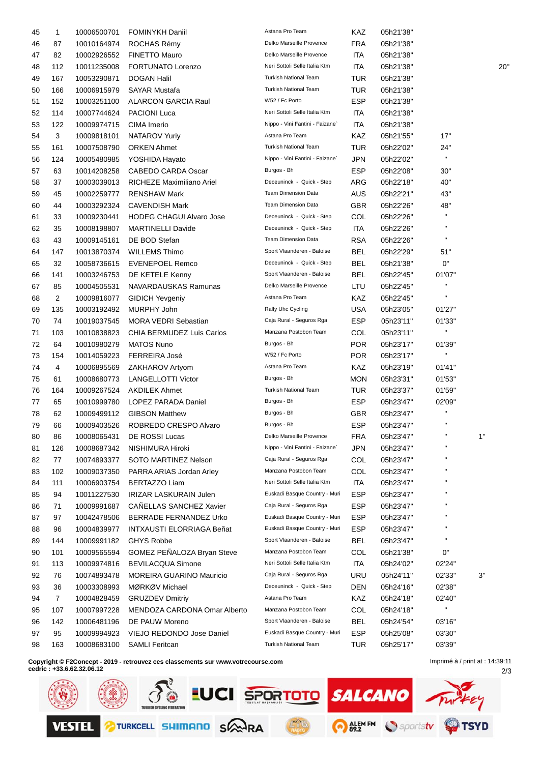| 45 | $\mathbf{1}$   | 10006500701 | <b>FOMINYKH Daniil</b>          | Astana Pro Team                 | KAZ        | 05h21'38" |                |     |
|----|----------------|-------------|---------------------------------|---------------------------------|------------|-----------|----------------|-----|
| 46 | 87             | 10010164974 | ROCHAS Rémy                     | Delko Marseille Provence        | <b>FRA</b> | 05h21'38" |                |     |
| 47 | 82             | 10002926552 | <b>FINETTO Mauro</b>            | Delko Marseille Provence        | <b>ITA</b> | 05h21'38" |                |     |
| 48 | 112            | 10011235008 | FORTUNATO Lorenzo               | Neri Sottoli Selle Italia Ktm   | <b>ITA</b> | 05h21'38" |                | 20' |
| 49 | 167            | 10053290871 | <b>DOGAN Halil</b>              | Turkish National Team           | <b>TUR</b> | 05h21'38" |                |     |
| 50 | 166            | 10006915979 | <b>SAYAR Mustafa</b>            | <b>Turkish National Team</b>    | <b>TUR</b> | 05h21'38" |                |     |
| 51 | 152            | 10003251100 | <b>ALARCON GARCIA Raul</b>      | W52 / Fc Porto                  | <b>ESP</b> | 05h21'38" |                |     |
| 52 | 114            | 10007744624 | <b>PACIONI Luca</b>             | Neri Sottoli Selle Italia Ktm   | ITA        | 05h21'38" |                |     |
| 53 | 122            | 10009974715 | CIMA Imerio                     | Nippo - Vini Fantini - Faizane` | ITA        | 05h21'38" |                |     |
| 54 | 3              | 10009818101 | NATAROV Yuriy                   | Astana Pro Team                 | KAZ        | 05h21'55" | 17"            |     |
| 55 | 161            | 10007508790 | <b>ORKEN Ahmet</b>              | <b>Turkish National Team</b>    | <b>TUR</b> | 05h22'02" | 24"            |     |
| 56 | 124            | 10005480985 | YOSHIDA Hayato                  | Nippo - Vini Fantini - Faizane` | <b>JPN</b> | 05h22'02" | $\mathbf{u}$   |     |
| 57 | 63             | 10014208258 | CABEDO CARDA Oscar              | Burgos - Bh                     | <b>ESP</b> | 05h22'08" | 30"            |     |
| 58 | 37             | 10003039013 | RICHEZE Maximiliano Ariel       | Deceuninck - Quick - Step       | ARG        | 05h22'18" | 40"            |     |
| 59 | 45             | 10002259777 | <b>RENSHAW Mark</b>             | <b>Team Dimension Data</b>      | <b>AUS</b> | 05h22'21" | 43"            |     |
| 60 | 44             | 10003292324 | <b>CAVENDISH Mark</b>           | <b>Team Dimension Data</b>      | GBR        | 05h22'26" | 48"            |     |
| 61 | 33             | 10009230441 | <b>HODEG CHAGUI Alvaro Jose</b> | Deceuninck - Quick - Step       | COL        | 05h22'26" | п              |     |
| 62 | 35             | 10008198807 | <b>MARTINELLI Davide</b>        | Deceuninck - Quick - Step       | <b>ITA</b> | 05h22'26" | п              |     |
| 63 | 43             | 10009145161 | DE BOD Stefan                   | <b>Team Dimension Data</b>      | <b>RSA</b> | 05h22'26" | П              |     |
| 64 | 147            | 10013870374 | <b>WILLEMS Thimo</b>            | Sport Vlaanderen - Baloise      | <b>BEL</b> | 05h22'29" | 51"            |     |
| 65 | 32             | 10058736615 | <b>EVENEPOEL Remco</b>          | Deceuninck - Quick - Step       | <b>BEL</b> | 05h21'38" | 0"             |     |
| 66 | 141            | 10003246753 | DE KETELE Kenny                 | Sport Vlaanderen - Baloise      | <b>BEL</b> | 05h22'45" | 01'07"         |     |
| 67 | 85             | 10004505531 | NAVARDAUSKAS Ramunas            | Delko Marseille Provence        | LTU        | 05h22'45" |                |     |
| 68 | $\overline{2}$ | 10009816077 | <b>GIDICH Yevgeniy</b>          | Astana Pro Team                 | KAZ        | 05h22'45" | П              |     |
| 69 | 135            | 10003192492 | MURPHY John                     | Rally Uhc Cycling               | <b>USA</b> | 05h23'05" | 01'27"         |     |
| 70 | 74             | 10019037545 | <b>MORA VEDRI Sebastian</b>     | Caja Rural - Seguros Rga        | <b>ESP</b> | 05h23'11" | 01'33"         |     |
| 71 | 103            | 10010838823 | CHIA BERMUDEZ Luis Carlos       | Manzana Postobon Team           | COL        | 05h23'11" | $\mathbf{H}$   |     |
| 72 | 64             | 10010980279 | <b>MATOS Nuno</b>               | Burgos - Bh                     | <b>POR</b> | 05h23'17" | 01'39"         |     |
| 73 | 154            | 10014059223 | FERREIRA José                   | W52 / Fc Porto                  | <b>POR</b> | 05h23'17" | $\blacksquare$ |     |
| 74 | 4              | 10006895569 | ZAKHAROV Artyom                 | Astana Pro Team                 | KAZ        | 05h23'19" | 01'41"         |     |
| 75 | 61             | 10008680773 | <b>LANGELLOTTI Victor</b>       | Burgos - Bh                     | <b>MON</b> | 05h23'31" | 01'53"         |     |
| 76 | 164            | 10009267524 | <b>AKDILEK Ahmet</b>            | Turkish National Team           | <b>TUR</b> | 05h23'37" | 01'59"         |     |
| 77 | 65             | 10010999780 | LOPEZ PARADA Daniel             | Burgos - Bh                     | <b>ESP</b> | 05h23'47" | 02'09"         |     |
| 78 | 62             | 10009499112 | <b>GIBSON Matthew</b>           | Burgos - Bh                     | <b>GBR</b> | 05h23'47" | Ħ              |     |
| 79 | 66             | 10009403526 | ROBREDO CRESPO Alvaro           | Burgos - Bh                     | <b>ESP</b> | 05h23'47" | п              |     |
| 80 | 86             | 10008065431 | DE ROSSI Lucas                  | Delko Marseille Provence        | <b>FRA</b> | 05h23'47" | $\mathbf{H}$   | 1"  |
| 81 | 126            | 10008687342 | NISHIMURA Hiroki                | Nippo - Vini Fantini - Faizane` | <b>JPN</b> | 05h23'47" | П              |     |
| 82 | 77             | 10074893377 | SOTO MARTINEZ Nelson            | Caja Rural - Seguros Rga        | COL        | 05h23'47" | п              |     |
| 83 | 102            | 10009037350 | PARRA ARIAS Jordan Arley        | Manzana Postobon Team           | COL        | 05h23'47" | п              |     |
| 84 | 111            | 10006903754 | <b>BERTAZZO Liam</b>            | Neri Sottoli Selle Italia Ktm   | <b>ITA</b> | 05h23'47" |                |     |
| 85 | 94             | 10011227530 | IRIZAR LASKURAIN Julen          | Euskadi Basque Country - Muri   | <b>ESP</b> | 05h23'47" | н              |     |
| 86 | 71             | 10009991687 | CAÑELLAS SANCHEZ Xavier         | Caja Rural - Seguros Rga        | <b>ESP</b> | 05h23'47" |                |     |
| 87 | 97             | 10042478506 | BERRADE FERNANDEZ Urko          | Euskadi Basque Country - Muri   | <b>ESP</b> | 05h23'47" | п              |     |
| 88 | 96             | 10004839977 | INTXAUSTI ELORRIAGA Beñat       | Euskadi Basque Country - Muri   | <b>ESP</b> | 05h23'47" | п              |     |
| 89 | 144            | 10009991182 | <b>GHYS Robbe</b>               | Sport Vlaanderen - Baloise      | <b>BEL</b> | 05h23'47" | H.             |     |
| 90 | 101            | 10009565594 | GOMEZ PEÑALOZA Bryan Steve      | Manzana Postobon Team           | COL        | 05h21'38" | 0"             |     |
| 91 | 113            | 10009974816 | <b>BEVILACQUA Simone</b>        | Neri Sottoli Selle Italia Ktm   | <b>ITA</b> | 05h24'02" | 02'24"         |     |
| 92 | 76             | 10074893478 | <b>MOREIRA GUARINO Mauricio</b> | Caja Rural - Seguros Rga        | URU        | 05h24'11" | 02'33"         | 3"  |
| 93 | 36             | 10003308993 | MØRKØV Michael                  | Deceuninck - Quick - Step       | DEN        | 05h24'16" | 02'38"         |     |
| 94 | $\overline{7}$ | 10004828459 | <b>GRUZDEV Dmitriy</b>          | Astana Pro Team                 | KAZ        | 05h24'18" | 02'40"         |     |
| 95 | 107            | 10007997228 | MENDOZA CARDONA Omar Alberto    | Manzana Postobon Team           | COL        | 05h24'18" | H.             |     |
| 96 | 142            | 10006481196 | DE PAUW Moreno                  | Sport Vlaanderen - Baloise      | <b>BEL</b> | 05h24'54" | 03'16"         |     |
| 97 | 95             | 10009994923 | VIEJO REDONDO Jose Daniel       | Euskadi Basque Country - Muri   | <b>ESP</b> | 05h25'08" | 03'30"         |     |
| 98 | 163            | 10008683100 | <b>SAMLI Feritcan</b>           | Turkish National Team           | <b>TUR</b> | 05h25'17" | 03'39"         |     |
|    |                |             |                                 |                                 |            |           |                |     |

**Copyright © F2Concept - 2019 - retrouvez ces classements sur www.votrecourse.com**

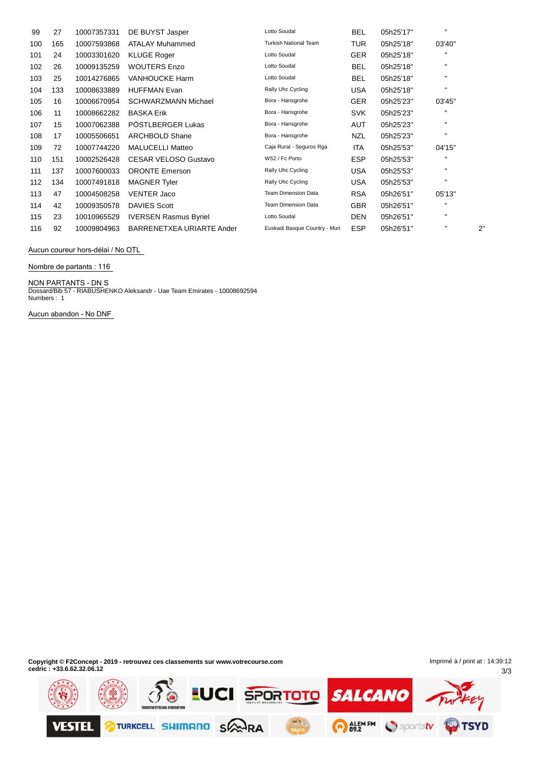| 99  | 27  | 10007357331 | DE BUYST Jasper              | Lotto Soudal                  | BEL        | 05h25'17" | $\mathbf{H}$ |    |
|-----|-----|-------------|------------------------------|-------------------------------|------------|-----------|--------------|----|
| 100 | 165 | 10007593868 | <b>ATALAY Muhammed</b>       | <b>Turkish National Team</b>  | TUR        | 05h25'18" | 03'40"       |    |
| 101 | 24  | 10003301620 | <b>KLUGE Roger</b>           | Lotto Soudal                  | <b>GER</b> | 05h25'18" | $\mathbf{H}$ |    |
| 102 | 26  | 10009135259 | <b>WOUTERS Enzo</b>          | Lotto Soudal                  | BEL        | 05h25'18" | $\mathbf{H}$ |    |
| 103 | 25  | 10014276865 | <b>VANHOUCKE Harm</b>        | Lotto Soudal                  | BEL        | 05h25'18" | $\mathbf{H}$ |    |
| 104 | 133 | 10008633889 | <b>HUFFMAN Evan</b>          | Rally Uhc Cycling             | <b>USA</b> | 05h25'18" | $\mathbf{H}$ |    |
| 105 | 16  | 10006670954 | <b>SCHWARZMANN Michael</b>   | Bora - Hansgrohe              | <b>GER</b> | 05h25'23" | 03'45"       |    |
| 106 | 11  | 10008662282 | <b>BASKA Erik</b>            | Bora - Hansgrohe              | <b>SVK</b> | 05h25'23" | п            |    |
| 107 | 15  | 10007062388 | PÖSTLBERGER Lukas            | Bora - Hansgrohe              | AUT        | 05h25'23" | $\mathbf{H}$ |    |
| 108 | 17  | 10005506651 | <b>ARCHBOLD Shane</b>        | Bora - Hansgrohe              | NZL        | 05h25'23" | $\mathbf{H}$ |    |
| 109 | 72  | 10007744220 | <b>MALUCELLI Matteo</b>      | Caja Rural - Seguros Rga      | <b>ITA</b> | 05h25'53" | 04'15"       |    |
| 110 | 151 | 10002526428 | <b>CESAR VELOSO Gustavo</b>  | W52 / Fc Porto                | <b>ESP</b> | 05h25'53" | п            |    |
| 111 | 137 | 10007600033 | <b>ORONTE Emerson</b>        | Rally Uhc Cycling             | USA        | 05h25'53" | $\mathbf{H}$ |    |
| 112 | 134 | 10007491818 | <b>MAGNER Tyler</b>          | Rally Uhc Cycling             | USA        | 05h25'53" | $\mathbf{H}$ |    |
| 113 | 47  | 10004508258 | <b>VENTER Jaco</b>           | <b>Team Dimension Data</b>    | <b>RSA</b> | 05h26'51" | 05'13"       |    |
| 114 | 42  | 10009350578 | <b>DAVIES Scott</b>          | <b>Team Dimension Data</b>    | <b>GBR</b> | 05h26'51" | $\mathbf{H}$ |    |
| 115 | 23  | 10010965529 | <b>IVERSEN Rasmus Byriel</b> | Lotto Soudal                  | DEN        | 05h26'51" | $\mathbf{H}$ |    |
| 116 | 92  | 10009804963 | BARRENETXEA URIARTE Ander    | Euskadi Basque Country - Muri | <b>ESP</b> | 05h26'51" | $\mathbf{H}$ | 2" |

**Aucun coureur hors-dÈlai / No OTL**

**Nombre de partants : 116**

**NON PARTANTS - DN** S Dossard/Bib 57 - RIABUSHENKO Aleksandr - Uae Team Emirates - 10008692594

Numbers : 1

**Aucun abandon - No DNF**

**Copyright © F2Concept - 2019 - retrouvez ces classements sur www.votrecourse.com cedric : +33.6.62.32.06.12**

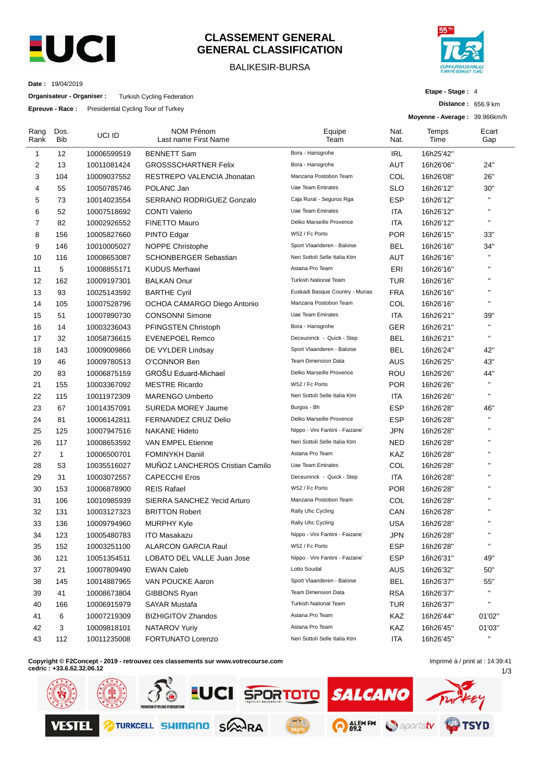

## **CLASSEMENT GENERAL GENERAL CLASSIFICATION**

### BALIKESIR-BURSA



**Etape - Stage :** 4

**Distance :** 656.9 km

**Date :** 19/04/2019

**Organisateur - Organiser :** Turkish Cycling Federation

**Epreuve - Race :** Presidential Cycling Tour of Turkey

|              |                    |             |                                    |                                 |              | Moyenne - Average: 39.966km/h |              |
|--------------|--------------------|-------------|------------------------------------|---------------------------------|--------------|-------------------------------|--------------|
| Rang<br>Rank | Dos.<br><b>Bib</b> | UCI ID      | NOM Prénom<br>Last name First Name | Equipe<br>Team                  | Nat.<br>Nat. | Temps<br>Time                 | Ecart<br>Gap |
| $\mathbf{1}$ | 12                 | 10006599519 | <b>BENNETT Sam</b>                 | Bora - Hansgrohe                | IRL          | 16h25'42"                     |              |
| 2            | 13                 | 10011081424 | <b>GROSSSCHARTNER Felix</b>        | Bora - Hansgrohe                | AUT          | 16h26'06"                     | 24"          |
| 3            | 104                | 10009037552 | RESTREPO VALENCIA Jhonatan         | Manzana Postobon Team           | COL          | 16h26'08"                     | 26"          |
| 4            | 55                 | 10050785746 | POLANC Jan                         | Uae Team Emirates               | <b>SLO</b>   | 16h26'12"                     | 30"          |
| 5            | 73                 | 10014023554 | SERRANO RODRIGUEZ Gonzalo          | Caja Rural - Seguros Rga        | <b>ESP</b>   | 16h26'12"                     | $\mathbf{H}$ |
| 6            | 52                 | 10007518692 | <b>CONTI Valerio</b>               | Uae Team Emirates               | ITA          | 16h26'12"                     | $\mathbf{H}$ |
| 7            | 82                 | 10002926552 | <b>FINETTO Mauro</b>               | Delko Marseille Provence        | ITA          | 16h26'12"                     | $\mathbf{u}$ |
| 8            | 156                | 10005827660 | <b>PINTO Edgar</b>                 | W52 / Fc Porto                  | <b>POR</b>   | 16h26'15"                     | 33"          |
| 9            | 146                | 10010005027 | <b>NOPPE Christophe</b>            | Sport Vlaanderen - Baloise      | <b>BEL</b>   | 16h26'16"                     | 34"          |
| 10           | 116                | 10008653087 | <b>SCHONBERGER Sebastian</b>       | Neri Sottoli Selle Italia Ktm   | AUT          | 16h26'16"                     | $\mathbf{u}$ |
| 11           | 5                  | 10008855171 | <b>KUDUS Merhawi</b>               | Astana Pro Team                 | ERI          | 16h26'16"                     | $\mathbf{H}$ |
| 12           | 162                | 10009197301 | <b>BALKAN Onur</b>                 | <b>Turkish National Team</b>    | <b>TUR</b>   | 16h26'16"                     | $\mathbf{H}$ |
| 13           | 93                 | 10025143592 | <b>BARTHE Cyril</b>                | Euskadi Basque Country - Murias | <b>FRA</b>   | 16h26'16"                     | $\mathbf{H}$ |
| 14           | 105                | 10007528796 | OCHOA CAMARGO Diego Antonio        | Manzana Postobon Team           | COL          | 16h26'16"                     | $\mathbf{u}$ |
| 15           | 51                 | 10007890730 | <b>CONSONNI Simone</b>             | <b>Uae Team Emirates</b>        | ITA          | 16h26'21"                     | 39"          |
| 16           | 14                 | 10003236043 | PFINGSTEN Christoph                | Bora - Hansgrohe                | <b>GER</b>   | 16h26'21"                     | $\mathbf{u}$ |
| 17           | 32                 | 10058736615 | <b>EVENEPOEL Remco</b>             | Deceuninck - Quick - Step       | <b>BEL</b>   | 16h26'21"                     | $\mathbf{H}$ |
| 18           | 143                | 10009009866 | DE VYLDER Lindsay                  | Sport Vlaanderen - Baloise      | <b>BEL</b>   | 16h26'24"                     | 42"          |
| 19           | 46                 | 10009780513 | O'CONNOR Ben                       | <b>Team Dimension Data</b>      | AUS          | 16h26'25"                     | 43"          |
| 20           | 83                 | 10006875159 | GROŠU Eduard-Michael               | Delko Marseille Provence        | <b>ROU</b>   | 16h26'26"                     | 44"          |
| 21           | 155                | 10003367092 | <b>MESTRE Ricardo</b>              | W52 / Fc Porto                  | <b>POR</b>   | 16h26'26"                     | $\mathbf{H}$ |
| 22           | 115                | 10011972309 | <b>MARENGO Umberto</b>             | Neri Sottoli Selle Italia Ktm   | <b>ITA</b>   | 16h26'26"                     | $\mathbf{H}$ |
| 23           | 67                 | 10014357091 | <b>SUREDA MOREY Jaume</b>          | Burgos - Bh                     | <b>ESP</b>   | 16h26'28"                     | 46"          |
| 24           | 81                 | 10006142811 | FERNANDEZ CRUZ Delio               | Delko Marseille Provence        | <b>ESP</b>   | 16h26'28"                     | $\mathbf{H}$ |
| 25           | 125                | 10007947516 | <b>NAKANE Hideto</b>               | Nippo - Vini Fantini - Faizane` | JPN          | 16h26'28"                     | $\mathbf{H}$ |
| 26           | 117                | 10008653592 | VAN EMPEL Etienne                  | Neri Sottoli Selle Italia Ktm   | <b>NED</b>   | 16h26'28"                     | $\mathbf{H}$ |
| 27           | $\mathbf{1}$       | 10006500701 | <b>FOMINYKH Daniil</b>             | Astana Pro Team                 | KAZ          | 16h26'28"                     | $\mathbf{H}$ |
| 28           | 53                 | 10035516027 | MUÑOZ LANCHEROS Cristian Camilo    | Uae Team Emirates               | COL          | 16h26'28"                     | $\mathbf{H}$ |
| 29           | 31                 | 10003072557 | <b>CAPECCHI Eros</b>               | Deceuninck - Quick - Step       | <b>ITA</b>   | 16h26'28"                     | $\mathbf{H}$ |
| 30           | 153                | 10006878900 | <b>REIS Rafael</b>                 | W52 / Fc Porto                  | <b>POR</b>   | 16h26'28"                     | $\mathbf{H}$ |
| 31           | 106                | 10010985939 | SIERRA SANCHEZ Yecid Arturo        | Manzana Postobon Team           | COL          | 16h26'28"                     | $\mathbf{H}$ |
| 32           | 131                | 10003127323 | <b>BRITTON Robert</b>              | Rally Uhc Cycling               | CAN          | 16h26'28"                     | $\mathbf{H}$ |
| 33           | 136                | 10009794960 | MURPHY Kyle                        | Rally Uhc Cycling               | <b>USA</b>   | 16h26'28"                     | $\mathbf{H}$ |
| 34           | 123                | 10005480783 | <b>ITO Masakazu</b>                | Nippo - Vini Fantini - Faizane` | <b>JPN</b>   | 16h26'28"                     | $\mathbf{H}$ |
| 35           | 152                | 10003251100 | <b>ALARCON GARCIA Raul</b>         | W52 / Fc Porto                  | <b>ESP</b>   | 16h26'28"                     | $\mathbf{u}$ |
| 36           | 121                | 10051354511 | LOBATO DEL VALLE Juan Jose         | Nippo - Vini Fantini - Faizane` | <b>ESP</b>   | 16h26'31"                     | 49"          |
| 37           | 21                 | 10007809490 | <b>EWAN Caleb</b>                  | Lotto Soudal                    | AUS          | 16h26'32"                     | 50"          |
| 38           | 145                | 10014887965 | VAN POUCKE Aaron                   | Sport Vlaanderen - Baloise      | <b>BEL</b>   | 16h26'37"                     | 55"          |
| 39           | 41                 | 10008673804 | <b>GIBBONS Ryan</b>                | <b>Team Dimension Data</b>      | <b>RSA</b>   | 16h26'37"                     | $\mathbf{u}$ |
| 40           | 166                | 10006915979 | <b>SAYAR Mustafa</b>               | Turkish National Team           | <b>TUR</b>   | 16h26'37"                     | $\mathbf{u}$ |
| 41           | 6                  | 10007219309 | <b>BIZHIGITOV Zhandos</b>          | Astana Pro Team                 | KAZ          | 16h26'44"                     | 01'02"       |
| 42           | 3                  | 10009818101 | <b>NATAROV Yuriy</b>               | Astana Pro Team                 | KAZ          | 16h26'45"                     | 01'03"       |
| 43           | 112                | 10011235008 | FORTUNATO Lorenzo                  | Neri Sottoli Selle Italia Ktm   | ITA          | 16h26'45"                     | $\mathbf{u}$ |

**Copyright © F2Concept - 2019 - retrouvez ces classements sur www.votrecourse.com**

**cedric : +33.6.62.32.06.12**

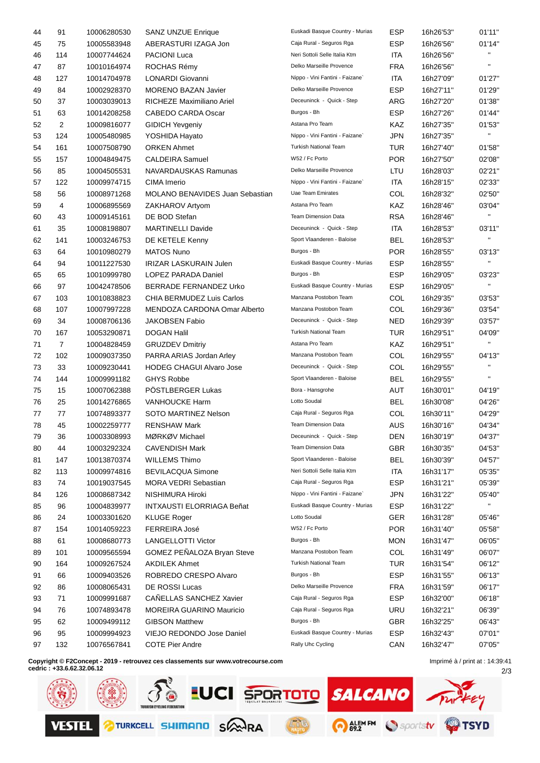| 44 | 91             | 10006280530 | <b>SANZ UNZUE Enrique</b>              | Euskadi Basque Country - Murias | ESP        | 16h26'53" | 01'11"       |
|----|----------------|-------------|----------------------------------------|---------------------------------|------------|-----------|--------------|
| 45 | 75             | 10005583948 | ABERASTURI IZAGA Jon                   | Caja Rural - Seguros Rga        | <b>ESP</b> | 16h26'56" | 01'14"       |
| 46 | 114            | 10007744624 | <b>PACIONI Luca</b>                    | Neri Sottoli Selle Italia Ktm   | ITA        | 16h26'56" | $\mathbf{H}$ |
| 47 | 87             | 10010164974 | ROCHAS Rémy                            | Delko Marseille Provence        | <b>FRA</b> | 16h26'56" | $\mathbf{H}$ |
| 48 | 127            | 10014704978 | LONARDI Giovanni                       | Nippo - Vini Fantini - Faizane` | <b>ITA</b> | 16h27'09" | 01'27"       |
| 49 | 84             | 10002928370 | <b>MORENO BAZAN Javier</b>             | Delko Marseille Provence        | <b>ESP</b> | 16h27'11" | 01'29"       |
| 50 | 37             | 10003039013 | RICHEZE Maximiliano Ariel              | Deceuninck - Quick - Step       | ARG        | 16h27'20" | 01'38"       |
| 51 | 63             | 10014208258 | <b>CABEDO CARDA Oscar</b>              | Burgos - Bh                     | <b>ESP</b> | 16h27'26" | 01'44"       |
| 52 | 2              | 10009816077 | <b>GIDICH Yevgeniy</b>                 | Astana Pro Team                 | KAZ        | 16h27'35" | 01'53"       |
| 53 | 124            | 10005480985 | YOSHIDA Hayato                         | Nippo - Vini Fantini - Faizane` | <b>JPN</b> | 16h27'35" | H.           |
| 54 | 161            | 10007508790 | <b>ORKEN Ahmet</b>                     | <b>Turkish National Team</b>    | <b>TUR</b> | 16h27'40" | 01'58"       |
| 55 | 157            | 10004849475 | <b>CALDEIRA Samuel</b>                 | W52 / Fc Porto                  | <b>POR</b> | 16h27'50" | 02'08"       |
| 56 | 85             | 10004505531 | NAVARDAUSKAS Ramunas                   | Delko Marseille Provence        | LTU        | 16h28'03" | 02'21"       |
| 57 | 122            | 10009974715 | CIMA Imerio                            | Nippo - Vini Fantini - Faizane` | <b>ITA</b> | 16h28'15" | 02'33"       |
| 58 | 56             | 10008971268 | <b>MOLANO BENAVIDES Juan Sebastian</b> | Uae Team Emirates               | COL        | 16h28'32" | 02'50"       |
| 59 | 4              | 10006895569 | ZAKHAROV Artyom                        | Astana Pro Team                 | KAZ        | 16h28'46" | 03'04"       |
| 60 | 43             | 10009145161 | DE BOD Stefan                          | Team Dimension Data             | <b>RSA</b> | 16h28'46" | H.           |
| 61 | 35             | 10008198807 | <b>MARTINELLI Davide</b>               | Deceuninck - Quick - Step       | ITA        | 16h28'53" | 03'11"       |
| 62 | 141            | 10003246753 | DE KETELE Kenny                        | Sport Vlaanderen - Baloise      | BEL        | 16h28'53" | H.           |
| 63 | 64             | 10010980279 | <b>MATOS Nuno</b>                      | Burgos - Bh                     | <b>POR</b> | 16h28'55" | 03'13"       |
| 64 | 94             | 10011227530 | <b>IRIZAR LASKURAIN Julen</b>          | Euskadi Basque Country - Murias | <b>ESP</b> | 16h28'55" | H.           |
| 65 | 65             | 10010999780 | <b>LOPEZ PARADA Daniel</b>             | Burgos - Bh                     | <b>ESP</b> | 16h29'05" | 03'23"       |
| 66 | 97             | 10042478506 | BERRADE FERNANDEZ Urko                 | Euskadi Basque Country - Murias | <b>ESP</b> | 16h29'05" | H.           |
| 67 | 103            | 10010838823 | CHIA BERMUDEZ Luis Carlos              | Manzana Postobon Team           | COL        | 16h29'35" | 03'53"       |
| 68 | 107            | 10007997228 | MENDOZA CARDONA Omar Alberto           | Manzana Postobon Team           | COL        | 16h29'36" | 03'54"       |
| 69 | 34             | 10008706136 | JAKOBSEN Fabio                         | Deceuninck - Quick - Step       | <b>NED</b> | 16h29'39" | 03'57"       |
| 70 | 167            | 10053290871 | <b>DOGAN Halil</b>                     | <b>Turkish National Team</b>    | <b>TUR</b> | 16h29'51" | 04'09"       |
| 71 | $\overline{7}$ | 10004828459 | <b>GRUZDEV Dmitriy</b>                 | Astana Pro Team                 | KAZ        | 16h29'51" | $\mathbf{H}$ |
| 72 | 102            | 10009037350 | PARRA ARIAS Jordan Arley               | Manzana Postobon Team           | COL        | 16h29'55" | 04'13"       |
| 73 | 33             | 10009230441 | <b>HODEG CHAGUI Alvaro Jose</b>        | Deceuninck - Quick - Step       | COL        | 16h29'55" | $\mathbf{u}$ |
| 74 | 144            | 10009991182 | <b>GHYS Robbe</b>                      | Sport Vlaanderen - Baloise      | <b>BEL</b> | 16h29'55" | $\mathbf{H}$ |
| 75 | 15             | 10007062388 | PÖSTLBERGER Lukas                      | Bora - Hansgrohe                | AUT        | 16h30'01" | 04'19"       |
| 76 | 25             | 10014276865 | <b>VANHOUCKE Harm</b>                  | Lotto Soudal                    | <b>BEL</b> | 16h30'08" | 04'26"       |
| 77 | 77             | 10074893377 | SOTO MARTINEZ Nelson                   | Caja Rural - Seguros Rga        | COL        | 16h30'11" | 04'29"       |
| 78 | 45             | 10002259777 | <b>RENSHAW Mark</b>                    | <b>Team Dimension Data</b>      | AUS        | 16h30'16" | 04'34"       |
| 79 | 36             | 10003308993 | MØRKØV Michael                         | Deceuninck - Quick - Step       | <b>DEN</b> | 16h30'19" | 04'37"       |
| 80 | 44             | 10003292324 | <b>CAVENDISH Mark</b>                  | <b>Team Dimension Data</b>      | <b>GBR</b> | 16h30'35" | 04'53"       |
| 81 | 147            | 10013870374 | <b>WILLEMS Thimo</b>                   | Sport Vlaanderen - Baloise      | <b>BEL</b> | 16h30'39" | 04'57"       |
| 82 | 113            | 10009974816 | <b>BEVILACQUA Simone</b>               | Neri Sottoli Selle Italia Ktm   | ITA        | 16h31'17" | 05'35"       |
| 83 | 74             | 10019037545 | MORA VEDRI Sebastian                   | Caja Rural - Seguros Rga        | <b>ESP</b> | 16h31'21" | 05'39"       |
| 84 | 126            | 10008687342 | NISHIMURA Hiroki                       | Nippo - Vini Fantini - Faizane` | JPN        | 16h31'22" | 05'40"       |
| 85 | 96             | 10004839977 | <b>INTXAUSTI ELORRIAGA Beñat</b>       | Euskadi Basque Country - Murias | <b>ESP</b> | 16h31'22" | H.           |
| 86 | 24             | 10003301620 | <b>KLUGE Roger</b>                     | Lotto Soudal                    | <b>GER</b> | 16h31'28" | 05'46"       |
| 87 | 154            | 10014059223 | FERREIRA José                          | W52 / Fc Porto                  | <b>POR</b> | 16h31'40" | 05'58"       |
| 88 | 61             | 10008680773 | LANGELLOTTI Victor                     | Burgos - Bh                     | <b>MON</b> | 16h31'47" | 06'05"       |
| 89 | 101            | 10009565594 | GOMEZ PEÑALOZA Bryan Steve             | Manzana Postobon Team           | COL        | 16h31'49" | 06'07"       |
| 90 | 164            | 10009267524 | <b>AKDILEK Ahmet</b>                   | <b>Turkish National Team</b>    | <b>TUR</b> | 16h31'54" | 06'12"       |
| 91 | 66             | 10009403526 | ROBREDO CRESPO Alvaro                  | Burgos - Bh                     | <b>ESP</b> | 16h31'55" | 06'13"       |
| 92 | 86             | 10008065431 | DE ROSSI Lucas                         | Delko Marseille Provence        | <b>FRA</b> | 16h31'59" | 06'17"       |
| 93 | 71             | 10009991687 | CANELLAS SANCHEZ Xavier                | Caja Rural - Seguros Rga        | <b>ESP</b> | 16h32'00" | 06'18"       |
| 94 | 76             | 10074893478 | <b>MOREIRA GUARINO Mauricio</b>        | Caja Rural - Seguros Rga        | <b>URU</b> | 16h32'21" | 06'39"       |
| 95 | 62             | 10009499112 | <b>GIBSON Matthew</b>                  | Burgos - Bh                     | <b>GBR</b> | 16h32'25" | 06'43"       |
| 96 | 95             | 10009994923 | VIEJO REDONDO Jose Daniel              | Euskadi Basque Country - Murias | <b>ESP</b> | 16h32'43" | 07'01"       |
| 97 | 132            | 10076567841 | <b>COTE Pier Andre</b>                 | Rally Uhc Cycling               | CAN        | 16h32'47" | 07'05"       |
|    |                |             |                                        |                                 |            |           |              |

**Copyright © F2Concept - 2019 - retrouvez ces classements sur www.votrecourse.com**

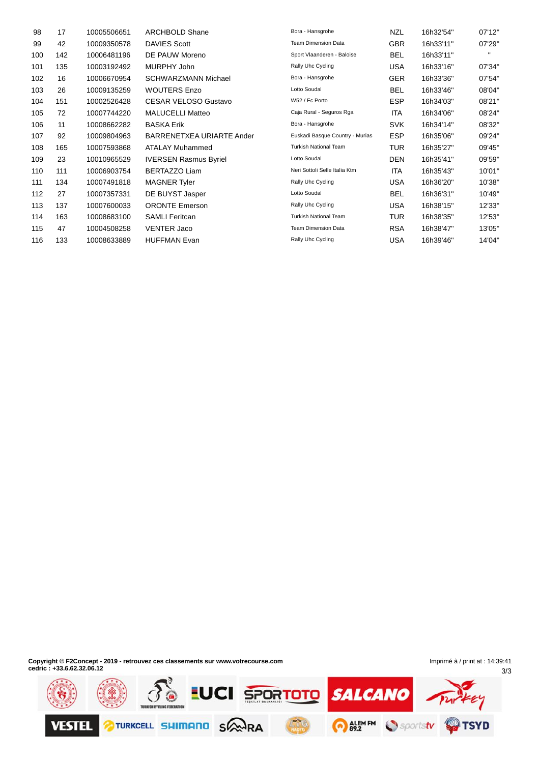| 98  | 17  | 10005506651 | <b>ARCHBOLD Shane</b>        | Bora - Hansgrohe                | <b>NZL</b> | 16h32'54" | 07'12"       |
|-----|-----|-------------|------------------------------|---------------------------------|------------|-----------|--------------|
| 99  | 42  | 10009350578 | <b>DAVIES Scott</b>          | <b>Team Dimension Data</b>      | <b>GBR</b> | 16h33'11" | 07'29"       |
| 100 | 142 | 10006481196 | DE PAUW Moreno               | Sport Vlaanderen - Baloise      | <b>BEL</b> | 16h33'11" | $\mathbf{H}$ |
| 101 | 135 | 10003192492 | MURPHY John                  | Rally Uhc Cycling               | <b>USA</b> | 16h33'16" | 07'34"       |
| 102 | 16  | 10006670954 | <b>SCHWARZMANN Michael</b>   | Bora - Hansgrohe                | <b>GER</b> | 16h33'36" | 07'54"       |
| 103 | 26  | 10009135259 | <b>WOUTERS Enzo</b>          | Lotto Soudal                    | BEL        | 16h33'46" | 08'04"       |
| 104 | 151 | 10002526428 | <b>CESAR VELOSO Gustavo</b>  | W52 / Fc Porto                  | <b>ESP</b> | 16h34'03" | 08'21"       |
| 105 | 72  | 10007744220 | <b>MALUCELLI Matteo</b>      | Caja Rural - Seguros Rga        | ITA        | 16h34'06" | 08'24"       |
| 106 | 11  | 10008662282 | <b>BASKA Erik</b>            | Bora - Hansgrohe                | <b>SVK</b> | 16h34'14" | 08'32"       |
| 107 | 92  | 10009804963 | BARRENETXEA URIARTE Ander    | Euskadi Basque Country - Murias | <b>ESP</b> | 16h35'06" | 09'24"       |
| 108 | 165 | 10007593868 | <b>ATALAY Muhammed</b>       | <b>Turkish National Team</b>    | TUR        | 16h35'27" | 09'45"       |
| 109 | 23  | 10010965529 | <b>IVERSEN Rasmus Byriel</b> | Lotto Soudal                    | DEN        | 16h35'41" | 09'59"       |
| 110 | 111 | 10006903754 | <b>BERTAZZO Liam</b>         | Neri Sottoli Selle Italia Ktm   | <b>ITA</b> | 16h35'43" | 10'01"       |
| 111 | 134 | 10007491818 | <b>MAGNER Tyler</b>          | Rally Uhc Cycling               | <b>USA</b> | 16h36'20" | 10'38"       |
| 112 | 27  | 10007357331 | DE BUYST Jasper              | Lotto Soudal                    | BEL        | 16h36'31" | 10'49"       |
| 113 | 137 | 10007600033 | <b>ORONTE Emerson</b>        | Rally Uhc Cycling               | <b>USA</b> | 16h38'15" | 12'33"       |
| 114 | 163 | 10008683100 | <b>SAMLI Feritcan</b>        | <b>Turkish National Team</b>    | <b>TUR</b> | 16h38'35" | 12'53"       |
| 115 | 47  | 10004508258 | <b>VENTER Jaco</b>           | <b>Team Dimension Data</b>      | <b>RSA</b> | 16h38'47" | 13'05"       |
| 116 | 133 | 10008633889 | <b>HUFFMAN Evan</b>          | Rally Uhc Cycling               | <b>USA</b> | 16h39'46" | 14'04"       |

**Copyright © F2Concept - 2019 - retrouvez ces classements sur www.votrecourse.com cedric : +33.6.62.32.06.12**

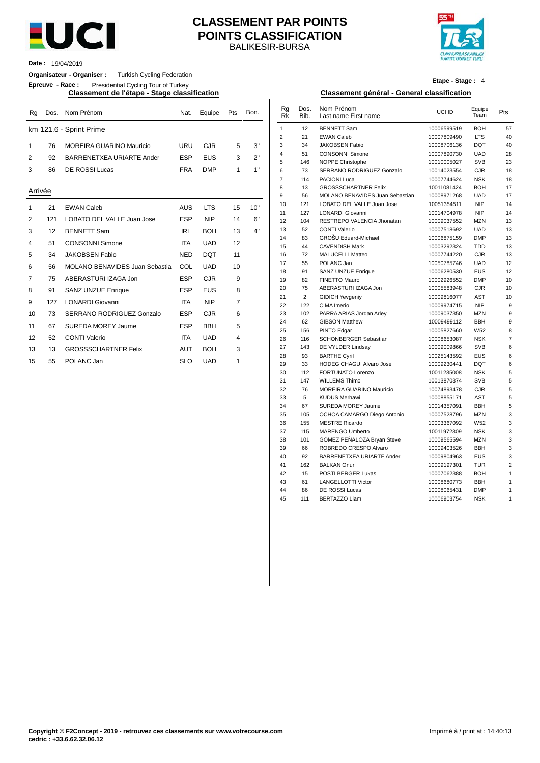

### BALIKESIR-BURSA **CLASSEMENT PAR POINTS POINTS CLASSIFICATION**



**Date :** 19/04/2019

### **Organisateur - Organiser :** Turkish Cycling Federation

**Epreuve - Race :** Presidential Cycling Tour of Turkey

| Rq             | Dos. | Nom Prénom                      | Nat.       | Equipe     | Pts            | Bon. | Rq<br>Rk       | Dos.<br>Bib. | Nom Prénom<br>Last name First name | UCI ID      | Equipe<br>Team  | Pts            |
|----------------|------|---------------------------------|------------|------------|----------------|------|----------------|--------------|------------------------------------|-------------|-----------------|----------------|
|                |      | km 121.6 - Sprint Prime         |            |            |                |      | $\mathbf{1}$   | 12           | <b>BENNETT Sam</b>                 | 10006599519 | <b>BOH</b>      | 57             |
|                |      |                                 |            |            |                |      | 2              | 21           | <b>EWAN Caleb</b>                  | 10007809490 | <b>LTS</b>      | 4 <sub>0</sub> |
| $\mathbf{1}$   | 76   | <b>MOREIRA GUARINO Mauricio</b> | URU        | <b>CJR</b> | 5              | 3"   | 3              | 34           | <b>JAKOBSEN Fabio</b>              | 10008706136 | <b>DQT</b>      | 40             |
| 2              | 92   | BARRENETXEA URIARTE Ander       | <b>ESP</b> | <b>EUS</b> | 3              | 2"   | 4              | 51           | <b>CONSONNI Simone</b>             | 10007890730 | <b>UAD</b>      | 28             |
|                |      |                                 |            |            |                |      | 5              | 146          | NOPPE Christophe                   | 10010005027 | <b>SVB</b>      | 23             |
| 3              | 86   | DE ROSSI Lucas                  | <b>FRA</b> | <b>DMP</b> | 1              | 1"   | 6              | 73           | SERRANO RODRIGUEZ Gonzalo          | 10014023554 | <b>CJR</b>      | 18             |
|                |      |                                 |            |            |                |      | $\overline{7}$ | 114          | PACIONI Luca                       | 10007744624 | <b>NSK</b>      | 18             |
| Arrivée        |      |                                 |            |            |                |      | 8              | 13           | <b>GROSSSCHARTNER Felix</b>        | 10011081424 | <b>BOH</b>      | 17             |
|                |      |                                 |            |            |                |      | 9              | 56           | MOLANO BENAVIDES Juan Sebastian    | 10008971268 | <b>UAD</b>      | 17             |
| 1              | 21   | <b>EWAN Caleb</b>               | <b>AUS</b> | <b>LTS</b> | 15             | 10"  | 10             | 121          | LOBATO DEL VALLE Juan Jose         | 10051354511 | <b>NIP</b>      | 14             |
|                |      |                                 |            |            |                |      | 11             | 127          | <b>LONARDI Giovanni</b>            | 10014704978 | <b>NIP</b>      | 14             |
| 2              | 121  | LOBATO DEL VALLE Juan Jose      | <b>ESP</b> | <b>NIP</b> | 14             | 6"   | 12             | 104          | RESTREPO VALENCIA Jhonatan         | 10009037552 | <b>MZN</b>      | 13             |
| 3              | 12   | <b>BENNETT Sam</b>              | <b>IRL</b> | <b>BOH</b> | 13             | 4"   | 13             | 52           | CONTI Valerio                      | 10007518692 | <b>UAD</b>      | 13             |
| 4              | 51   | <b>CONSONNI Simone</b>          | <b>ITA</b> | <b>UAD</b> | 12             |      | 14             | 83           | GROŠU Eduard-Michael               | 10006875159 | <b>DMP</b>      | 13             |
|                |      |                                 |            |            |                |      | 15             | 44           | <b>CAVENDISH Mark</b>              | 10003292324 | <b>TDD</b>      | 13             |
| 5              | 34   | <b>JAKOBSEN Fabio</b>           | <b>NED</b> | <b>DQT</b> | 11             |      | 16             | 72           | MALUCELLI Matteo                   | 10007744220 | <b>CJR</b>      | 13             |
| 6              | 56   | MOLANO BENAVIDES Juan Sebastia  | COL        | <b>UAD</b> | 10             |      | 17             | 55           | POLANC Jan                         | 10050785746 | <b>UAD</b>      | 12             |
| $\overline{7}$ | 75   |                                 | <b>ESP</b> | <b>CJR</b> | 9              |      | 18             | 91           | <b>SANZ UNZUE Enrique</b>          | 10006280530 | EUS             | 12             |
|                |      | ABERASTURI IZAGA Jon            |            |            |                |      | 19             | 82           | FINETTO Mauro                      | 10002926552 | <b>DMP</b>      | 1 <sub>0</sub> |
| 8              | 91   | <b>SANZ UNZUE Enrique</b>       | ESP        | <b>EUS</b> | 8              |      | 20             | 75           | ABERASTURI IZAGA Jon               | 10005583948 | <b>CJR</b>      | 1 <sub>0</sub> |
| 9              | 127  | <b>LONARDI Giovanni</b>         | <b>ITA</b> | <b>NIP</b> | $\overline{7}$ |      | 21             | 2            | <b>GIDICH Yevgeniy</b>             | 10009816077 | <b>AST</b>      | 1 <sub>0</sub> |
|                |      |                                 |            |            |                |      | 22             | 122          | CIMA Imerio                        | 10009974715 | <b>NIP</b>      |                |
| 10             | 73   | SERRANO RODRIGUEZ Gonzalo       | <b>ESP</b> | <b>CJR</b> | 6              |      | 23             | 102          | PARRA ARIAS Jordan Arley           | 10009037350 | <b>MZN</b>      |                |
| 11             | 67   | SUREDA MOREY Jaume              | <b>ESP</b> | <b>BBH</b> | 5              |      | 24             | 62           | <b>GIBSON Matthew</b>              | 10009499112 | <b>BBH</b>      |                |
| 12             | 52   | <b>CONTI Valerio</b>            | <b>ITA</b> | <b>UAD</b> | 4              |      | 25             | 156          | PINTO Edgar                        | 10005827660 | W <sub>52</sub> |                |
|                |      |                                 |            |            |                |      | 26             | 116          | <b>SCHONBERGER Sebastian</b>       | 10008653087 | <b>NSK</b>      |                |
| 13             | 13   | <b>GROSSSCHARTNER Felix</b>     | <b>AUT</b> | <b>BOH</b> | 3              |      | 27             | 143          | DE VYLDER Lindsay                  | 10009009866 | <b>SVB</b>      |                |
| 15             | 55   | POLANC Jan                      | <b>SLO</b> | <b>UAD</b> | 1              |      | 28             | 93           | <b>BARTHE Cyril</b>                | 10025143592 | <b>EUS</b>      |                |
|                |      |                                 |            |            |                |      | 29             | 33           | <b>HODEG CHAGUI Alvaro Jose</b>    | 10009230441 | <b>DQT</b>      |                |

**Etape - Stage :** 4

### **Classement de l'étape - Stage classification Classement général - General classification**

| Rg      |     | Dos. Nom Prénom                 |            | Nat. Equipe | Pts            | Bon. | Rg<br>Rk            | Dos.<br>Bib.   | Nom Prénom<br>Last name First name                   | UCI ID                     | Equipe<br>Team           | Pts      |
|---------|-----|---------------------------------|------------|-------------|----------------|------|---------------------|----------------|------------------------------------------------------|----------------------------|--------------------------|----------|
|         |     | km 121.6 - Sprint Prime         |            |             |                |      | $\mathbf{1}$        | 12             | <b>BENNETT Sam</b>                                   | 10006599519                | <b>BOH</b>               | 57       |
|         |     |                                 |            |             |                |      | $\overline{2}$      | 21             | <b>EWAN Caleb</b>                                    | 10007809490                | <b>LTS</b>               | 40       |
| 1       | 76  | <b>MOREIRA GUARINO Mauricio</b> | URU        | <b>CJR</b>  | 5              | 3"   | 3<br>$\overline{4}$ | 34<br>51       | <b>JAKOBSEN Fabio</b><br><b>CONSONNI Simone</b>      | 10008706136<br>10007890730 | <b>DQT</b><br><b>UAD</b> | 40<br>28 |
| 2       | 92  | BARRENETXEA URIARTE Ander       | <b>ESP</b> | <b>EUS</b>  | 3              | 2"   | 5                   | 146            | NOPPE Christophe                                     | 10010005027                | <b>SVB</b>               | 23       |
| 3       | 86  | <b>DE ROSSI Lucas</b>           | <b>FRA</b> | <b>DMP</b>  | $\mathbf{1}$   | 1"   | 6                   | 73             | SERRANO RODRIGUEZ Gonzalo                            | 10014023554                | CJR                      | 18       |
|         |     |                                 |            |             |                |      | $\overline{7}$      | 114            | PACIONI Luca                                         | 10007744624                | <b>NSK</b>               | 18       |
| Arrivée |     |                                 |            |             |                |      | 8                   | 13             | <b>GROSSSCHARTNER Felix</b>                          | 10011081424                | <b>BOH</b>               | 17       |
|         |     |                                 |            |             |                |      | 9                   | 56             | MOLANO BENAVIDES Juan Sebastian                      | 10008971268                | UAD                      | 17       |
| 1       | 21  | <b>EWAN Caleb</b>               | <b>AUS</b> | <b>LTS</b>  | 15             | 10"  | 10                  | 121            | LOBATO DEL VALLE Juan Jose                           | 10051354511                | <b>NIP</b>               | 14       |
|         | 121 | LOBATO DEL VALLE Juan Jose      | <b>ESP</b> | <b>NIP</b>  | 14             | 6"   | 11                  | 127            | LONARDI Giovanni                                     | 10014704978                | <b>NIP</b>               | 14       |
| 2       |     |                                 |            |             |                |      | 12                  | 104            | RESTREPO VALENCIA Jhonatan                           | 10009037552                | <b>MZN</b>               | 13       |
| 3       | 12  | <b>BENNETT Sam</b>              | <b>IRL</b> | <b>BOH</b>  | 13             | 4"   | 13<br>14            | 52<br>83       | <b>CONTI Valerio</b><br>GROŠU Eduard-Michael         | 10007518692<br>10006875159 | <b>UAD</b><br><b>DMP</b> | 13<br>13 |
| 4       | 51  | <b>CONSONNI Simone</b>          | <b>ITA</b> | <b>UAD</b>  | 12             |      | 15                  | 44             | <b>CAVENDISH Mark</b>                                | 10003292324                | <b>TDD</b>               | 13       |
| 5       | 34  | <b>JAKOBSEN Fabio</b>           | <b>NED</b> | <b>DQT</b>  | 11             |      | 16                  | 72             | MALUCELLI Matteo                                     | 10007744220                | CJR                      |          |
|         |     |                                 |            |             |                |      | 17                  | 55             | POLANC Jan                                           | 10050785746                | <b>UAD</b>               |          |
| 6       | 56  | MOLANO BENAVIDES Juan Sebastia  | COL        | <b>UAD</b>  | 10             |      | 18                  | 91             | SANZ UNZUE Enrique                                   | 10006280530                | <b>EUS</b>               |          |
| 7       | 75  | ABERASTURI IZAGA Jon            | <b>ESP</b> | <b>CJR</b>  | 9              |      | 19                  | 82             | FINETTO Mauro                                        | 10002926552                | <b>DMP</b>               |          |
| 8       | 91  | <b>SANZ UNZUE Enrique</b>       | <b>ESP</b> | <b>EUS</b>  | 8              |      | 20                  | 75             | ABERASTURI IZAGA Jon                                 | 10005583948                | CJR                      |          |
| 9       | 127 | <b>LONARDI Giovanni</b>         | <b>ITA</b> | <b>NIP</b>  | $\overline{7}$ |      | 21                  | $\overline{2}$ | <b>GIDICH Yevgeniy</b>                               | 10009816077                | AST                      |          |
|         |     |                                 |            |             |                |      | 22                  | 122            | CIMA Imerio                                          | 10009974715                | <b>NIP</b>               |          |
| 10      | 73  | SERRANO RODRIGUEZ Gonzalo       | <b>ESP</b> | <b>CJR</b>  | 6              |      | 23                  | 102            | PARRA ARIAS Jordan Arley                             | 10009037350                | <b>MZN</b>               |          |
| 11      | 67  | SUREDA MOREY Jaume              | <b>ESP</b> | <b>BBH</b>  | 5              |      | 24<br>25            | 62<br>156      | <b>GIBSON Matthew</b><br>PINTO Edgar                 | 10009499112<br>10005827660 | <b>BBH</b><br>W52        |          |
| 12      | 52  | <b>CONTI Valerio</b>            | ITA        | <b>UAD</b>  | $\overline{4}$ |      | 26                  | 116            | SCHONBERGER Sebastian                                | 10008653087                | <b>NSK</b>               |          |
| 13      | 13  | <b>GROSSSCHARTNER Felix</b>     | AUT        | <b>BOH</b>  | 3              |      | 27                  | 143            | DE VYLDER Lindsay                                    | 10009009866                | <b>SVB</b>               |          |
|         |     |                                 |            |             |                |      | 28                  | 93             | <b>BARTHE Cyril</b>                                  | 10025143592                | <b>EUS</b>               |          |
| 15      | 55  | POLANC Jan                      | <b>SLO</b> | <b>UAD</b>  | $\mathbf{1}$   |      | 29                  | 33             | <b>HODEG CHAGUI Alvaro Jose</b>                      | 10009230441                | <b>DQT</b>               |          |
|         |     |                                 |            |             |                |      | 30                  | 112            | FORTUNATO Lorenzo                                    | 10011235008                | <b>NSK</b>               |          |
|         |     |                                 |            |             |                |      | 31                  | 147            | <b>WILLEMS Thimo</b>                                 | 10013870374                | <b>SVB</b>               |          |
|         |     |                                 |            |             |                |      | 32                  | 76             | MOREIRA GUARINO Mauricio                             | 10074893478                | CJR                      |          |
|         |     |                                 |            |             |                |      | 33                  | 5              | <b>KUDUS Merhawi</b>                                 | 10008855171                | AST                      |          |
|         |     |                                 |            |             |                |      | 34                  | 67             | SUREDA MOREY Jaume                                   | 10014357091                | <b>BBH</b>               |          |
|         |     |                                 |            |             |                |      | 35<br>36            | 105<br>155     | OCHOA CAMARGO Diego Antonio<br><b>MESTRE Ricardo</b> | 10007528796<br>10003367092 | <b>MZN</b><br>W52        |          |
|         |     |                                 |            |             |                |      | 37                  | 115            | <b>MARENGO Umberto</b>                               | 10011972309                | <b>NSK</b>               |          |
|         |     |                                 |            |             |                |      | 38                  | 101            | GOMEZ PEÑALOZA Bryan Steve                           | 10009565594                | <b>MZN</b>               |          |
|         |     |                                 |            |             |                |      | 39                  | 66             | ROBREDO CRESPO Alvaro                                | 10009403526                | <b>BBH</b>               |          |
|         |     |                                 |            |             |                |      | 40                  | 92             | BARRENETXEA URIARTE Ander                            | 10009804963                | <b>EUS</b>               |          |
|         |     |                                 |            |             |                |      | 41                  | 162            | <b>BALKAN Onur</b>                                   | 10009197301                | <b>TUR</b>               |          |
|         |     |                                 |            |             |                |      | 42                  | 15             | PÖSTLBERGER Lukas                                    | 10007062388                | <b>BOH</b>               |          |
|         |     |                                 |            |             |                |      | 43                  | 61             | <b>LANGELLOTTI Victor</b>                            | 10008680773                | <b>BBH</b>               |          |
|         |     |                                 |            |             |                |      | 44                  | 86             | <b>DE ROSSI Lucas</b>                                | 10008065431                | <b>DMP</b>               |          |
|         |     |                                 |            |             |                |      | 45                  | 111            | <b>BERTAZZO Liam</b>                                 | 10006903754                | <b>NSK</b>               |          |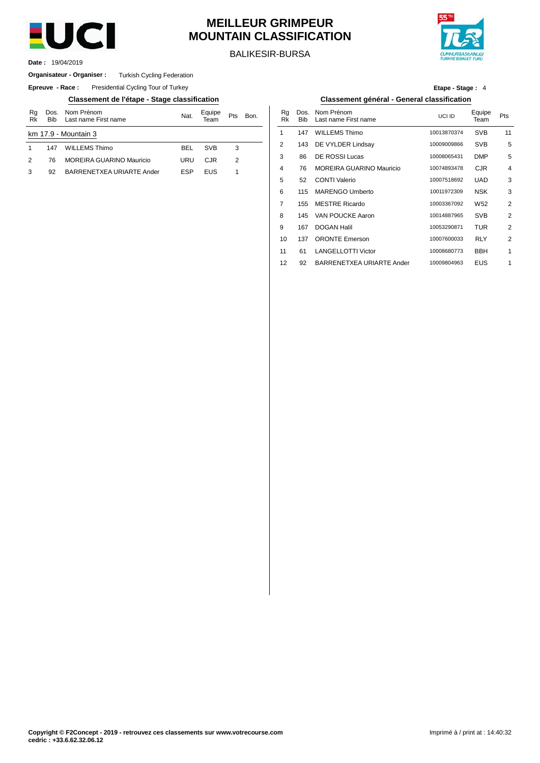

# **MEILLEUR GRIMPEUR MOUNTAIN CLASSIFICATION**

BALIKESIR-BURSA



19/04/2019 **Date :**

### **Organisateur - Organiser :** Turkish Cycling Federation

**Epreuve - Race:** Presidential Cycling Tour of Turkey

### **Classement de l'étape - Stage classification Classement général - General classification**

| Rg<br>Rk | Dos.<br><b>Bib</b> | Nom Prénom<br>Last name First name | Nat.       | Equipe<br>eam | Pts | Bon. | Rg<br>Rk       | Dos<br><b>Bib</b> |
|----------|--------------------|------------------------------------|------------|---------------|-----|------|----------------|-------------------|
|          |                    | km 17.9 - Mountain 3               |            |               |     |      |                | 147               |
|          | 147                | <b>WILLEMS Thimo</b>               | <b>BEL</b> | <b>SVB</b>    | 3   |      | $\overline{2}$ | 143               |
|          | 76                 | <b>MOREIRA GUARINO Mauricio</b>    | URU        | CJR           | 2   |      | 3              | 86                |
|          | 92                 | BARRENETXEA URIARTE Ander          | <b>ESP</b> | <b>EUS</b>    |     |      | 4              | 76                |
|          |                    |                                    |            |               |     |      | E              | E0                |

**Etape - Stage :** 4

| Nom Prénom<br>Last name First name | Nat.       | Equipe<br>Team | Pts            | Bon. | Rq<br>Rk | Dos.<br><b>Bib</b> | Nom Prénom<br>Last name First name | UCI ID      | Equipe<br>Team  | Pts            |
|------------------------------------|------------|----------------|----------------|------|----------|--------------------|------------------------------------|-------------|-----------------|----------------|
| 1ountain 3                         |            |                |                |      |          | 147                | <b>WILLEMS Thimo</b>               | 10013870374 | <b>SVB</b>      | 11             |
| WILLEMS Thimo                      | <b>BEL</b> | <b>SVB</b>     | 3              |      | 2        | 143                | DE VYLDER Lindsay                  | 10009009866 | <b>SVB</b>      | 5              |
| MOREIRA GUARINO Mauricio           | URU        | <b>CJR</b>     | $\overline{2}$ |      | 3        | 86                 | <b>DE ROSSI Lucas</b>              | 10008065431 | <b>DMP</b>      | 5              |
| BARRENETXEA URIARTE Ander          | <b>ESP</b> | <b>EUS</b>     | 1              |      | 4        | 76                 | <b>MOREIRA GUARINO Mauricio</b>    | 10074893478 | <b>CJR</b>      | 4              |
|                                    |            |                |                |      | 5        | 52                 | <b>CONTI Valerio</b>               | 10007518692 | <b>UAD</b>      | 3              |
|                                    |            |                |                |      | 6        | 115                | <b>MARENGO Umberto</b>             | 10011972309 | <b>NSK</b>      | 3              |
|                                    |            |                |                |      | 7        | 155                | <b>MESTRE Ricardo</b>              | 10003367092 | W <sub>52</sub> | 2              |
|                                    |            |                |                |      | 8        | 145                | VAN POUCKE Aaron                   | 10014887965 | <b>SVB</b>      | 2              |
|                                    |            |                |                |      | 9        | 167                | <b>DOGAN Halil</b>                 | 10053290871 | <b>TUR</b>      | $\overline{2}$ |
|                                    |            |                |                |      | 10       | 137                | <b>ORONTE Emerson</b>              | 10007600033 | <b>RLY</b>      | 2              |
|                                    |            |                |                |      | 11       | 61                 | <b>LANGELLOTTI Victor</b>          | 10008680773 | <b>BBH</b>      | 1              |
|                                    |            |                |                |      | 12       | 92                 | BARRENETXEA URIARTE Ander          | 10009804963 | <b>EUS</b>      | 1              |
|                                    |            |                |                |      |          |                    |                                    |             |                 |                |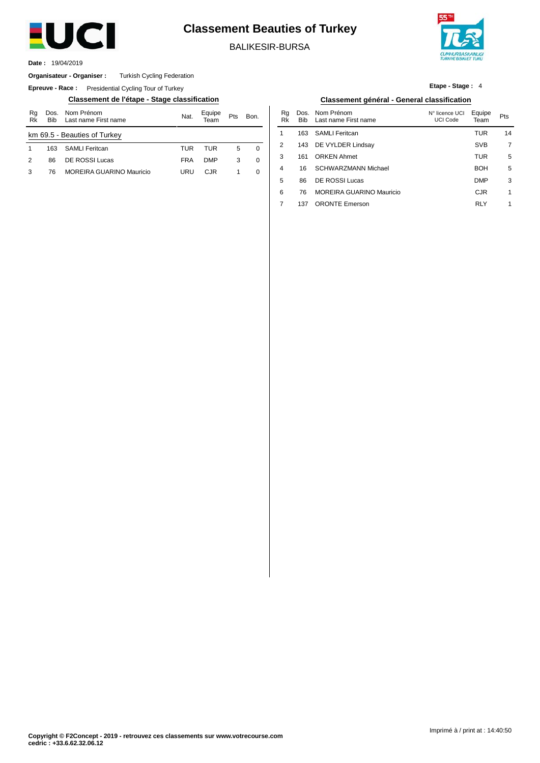

# **Classement Beauties of Turkey**

BALIKESIR-BURSA

2

4

5 6 7

137 ORONTE Emerson



1

RLY

19/04/2019 **Date :**

#### Turkish Cycling Federation **Organisateur - Organiser :**

**Epreuve - Race:** Presidential Cycling Tour of Turkey

**Classement de l'étape - Stage classification Classement général - General classification**

| Rg<br>Rk                     | <b>Bib</b> | Dos. Nom Prénom<br>Last name First name | Nat.       | Equipe     | Pts | Bon. |  |  |  |  |  |
|------------------------------|------------|-----------------------------------------|------------|------------|-----|------|--|--|--|--|--|
| km 69.5 - Beauties of Turkey |            |                                         |            |            |     |      |  |  |  |  |  |
|                              | 163        | SAMLI Feritcan                          | TUR        | TUR        | 5   | 0    |  |  |  |  |  |
| $\mathcal{P}$                | 86         | DE ROSSI Lucas                          | <b>FRA</b> | <b>DMP</b> | 3   | 0    |  |  |  |  |  |
| 3                            | 76         | MOREIRA GUARINO Mauricio                | URU        | C.IR       |     | 0    |  |  |  |  |  |
|                              |            |                                         |            |            |     |      |  |  |  |  |  |

#### Rg Rk 1 3 Dos. Bib 163 143 161 16 86 76 MOREIRA GUARINO Mauricio Nom Prénom Last name First name Bon. Pts 14 7 5 MOREIRA GUARINO Mauricio URU CJR 1 0 │ <sup>4</sup> 16 SCHWARZMANN Michael BOH 5 3 1 N° licence UCI UCI Code SAMLI Feritcan DE VYLDER Lindsay ORKEN Ahmet SCHWARZMANN Michael DE ROSSI Lucas Equipe Team TUR SVB TUR BOH DMP CJR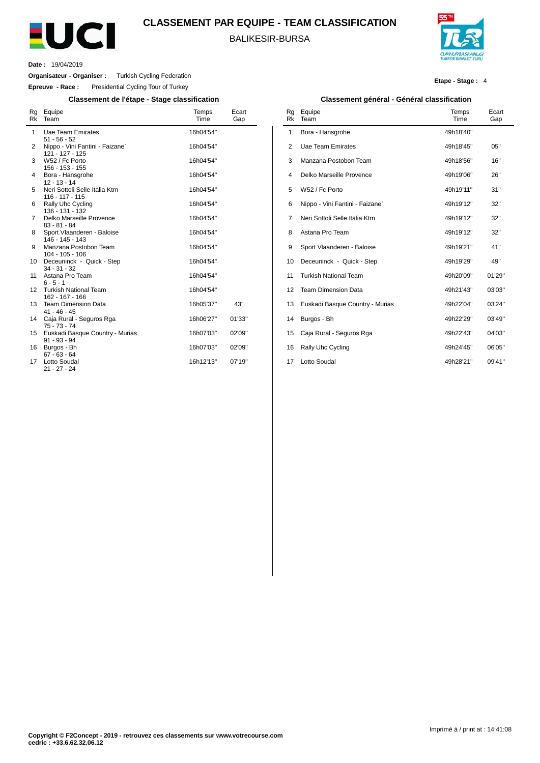

### **CLASSEMENT PAR EQUIPE - TEAM CLASSIFICATION**

BALIKESIR-BURSA



**Etape - Stage :** 4

**Date :** 19/04/2019

 $\overline{a}$ 

**Organisateur - Organiser :** Turkish Cycling Federation

**Epreuve - Race :** Presidential Cycling Tour of Turkey

**Classement de l'étape - Stage classification Classement général - Général classification**

| Rg<br>Rk | Equipe<br>Team                                     | Temps<br>Time | Ecart<br>Gap |
|----------|----------------------------------------------------|---------------|--------------|
| 1        | <b>Uae Team Emirates</b><br>$51 - 56 - 52$         | 16h04'54"     |              |
| 2        | Nippo - Vini Fantini - Faizane`<br>121 - 127 - 125 | 16h04'54"     |              |
| 3        | W52 / Fc Porto<br>156 - 153 - 155                  | 16h04'54"     |              |
| 4        | Bora - Hansgrohe<br>$12 - 13 - 14$                 | 16h04'54"     |              |
| 5        | Neri Sottoli Selle Italia Ktm<br>$116 - 117 - 115$ | 16h04'54"     |              |
| 6        | Rally Uhc Cycling<br>136 - 131 - 132               | 16h04'54"     |              |
| 7        | Delko Marseille Provence<br>$83 - 81 - 84$         | 16h04'54"     |              |
| 8        | Sport Vlaanderen - Baloise<br>146 - 145 - 143      | 16h04'54"     |              |
| 9        | Manzana Postobon Team<br>$104 - 105 - 106$         | 16h04'54"     |              |
| 10       | Deceuninck - Quick - Step<br>$34 - 31 - 32$        | 16h04'54"     |              |
| 11       | Astana Pro Team<br>$6 - 5 - 1$                     | 16h04'54"     |              |
| 12       | <b>Turkish National Team</b><br>162 - 167 - 166    | 16h04'54"     |              |
| 13       | <b>Team Dimension Data</b><br>$41 - 46 - 45$       | 16h05'37"     | 43"          |
| 14       | Caja Rural - Seguros Rga<br>$75 - 73 - 74$         | 16h06'27"     | 01'33"       |
| 15       | Euskadi Basque Country - Murias<br>$91 - 93 - 94$  | 16h07'03"     | 02'09"       |
| 16       | Burgos - Bh<br>$67 - 63 - 64$                      | 16h07'03"     | 02'09"       |
| 17       | <b>Lotto Soudal</b><br>21 - 27 - 24                | 16h12'13"     | 07'19"       |

| Rq<br><b>Rk</b> | Equipe<br>Team                  | Temps<br>Time | Ecart<br>Gap |
|-----------------|---------------------------------|---------------|--------------|
| 1               | Bora - Hansgrohe                | 49h18'40"     |              |
| $\overline{2}$  | Uae Team Emirates               | 49h18'45"     | 05"          |
| 3               | Manzana Postobon Team           | 49h18'56"     | 16"          |
| $\overline{4}$  | Delko Marseille Provence        | 49h19'06"     | 26"          |
| 5               | W52 / Fc Porto                  | 49h19'11"     | 31"          |
| 6               | Nippo - Vini Fantini - Faizane` | 49h19'12"     | 32"          |
| 7               | Neri Sottoli Selle Italia Ktm   | 49h19'12"     | 32"          |
| 8               | Astana Pro Team                 | 49h19'12"     | 32"          |
| 9               | Sport Vlaanderen - Baloise      | 49h19'21"     | 41"          |
| 10              | Deceuninck - Quick - Step       | 49h19'29"     | 49"          |
| 11              | <b>Turkish National Team</b>    | 49h20'09"     | 01'29"       |
| 12              | <b>Team Dimension Data</b>      | 49h21'43"     | 03'03"       |
| 13              | Euskadi Basque Country - Murias | 49h22'04"     | 03'24"       |
| 14              | Burgos - Bh                     | 49h22'29"     | 03'49"       |
| 15              | Caja Rural - Seguros Rga        | 49h22'43"     | 04'03"       |
| 16              | Rally Uhc Cycling               | 49h24'45"     | 06'05"       |
| 17              | Lotto Soudal                    | 49h28'21"     | 09'41"       |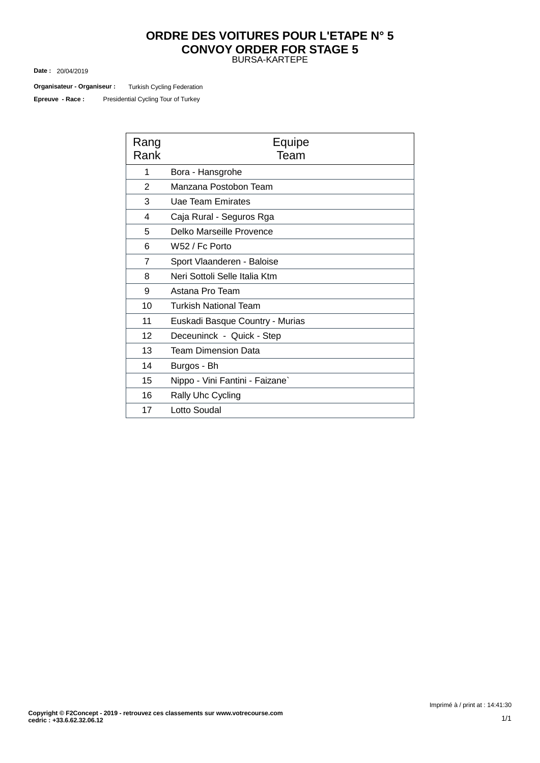### BURSA-KARTEPE **ORDRE DES VOITURES POUR L'ETAPE N° 5 CONVOY ORDER FOR STAGE 5**

20/04/2019 **Date :**

Turkish Cycling Federation **Organisateur - Organiseur :**

Presidential Cycling Tour of Turkey **Epreuve - Race :**

| Rang<br>Rank   | Equipe<br>Team                  |
|----------------|---------------------------------|
| 1              | Bora - Hansgrohe                |
| 2              | Manzana Postobon Team           |
| 3              | Uae Team Emirates               |
| 4              | Caja Rural - Seguros Rga        |
| 5              | Delko Marseille Provence        |
| 6              | W52 / Fc Porto                  |
| $\overline{7}$ | Sport Vlaanderen - Baloise      |
| 8              | Neri Sottoli Selle Italia Ktm   |
| 9              | Astana Pro Team                 |
| 10             | Turkish National Team           |
| 11             | Euskadi Basque Country - Murias |
| 12             | Deceuninck - Quick - Step       |
| 13             | Team Dimension Data             |
| 14             | Burgos - Bh                     |
| 15             | Nippo - Vini Fantini - Faizane` |
| 16             | Rally Uhc Cycling               |
| 17             | Lotto Soudal                    |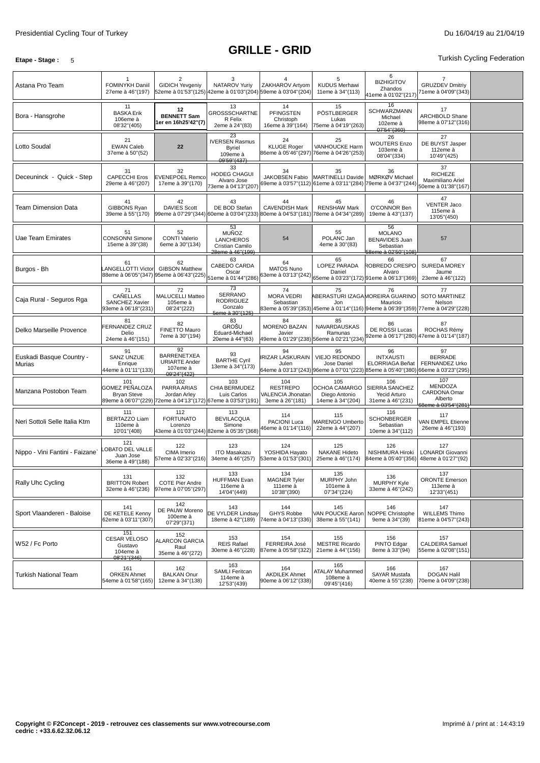### **Etape - Stage** : 5 Turkish Cycling Federation

| Astana Pro Team                    | FOMINYKH Daniil<br>27eme à 46"(197)                                                                        | 2<br><b>GIDICH Yevgeniy</b>                                                 | 3<br>NATAROV Yuriy                                                                  | ZAKHAROV Artyom<br>52eme à 01'53"(125) 42eme à 01'03"(204) 59eme à 03'04"(204) | 5<br><b>KUDUS Merhawi</b><br>11eme à 34"(113)                                                                         | 6<br><b>BIZHIGITOV</b><br>Zhandos<br>41eme à 01'02"(217)                         | <b>GRUZDEV Dmitriy</b><br>71eme à 04'09"(343)                    |  |
|------------------------------------|------------------------------------------------------------------------------------------------------------|-----------------------------------------------------------------------------|-------------------------------------------------------------------------------------|--------------------------------------------------------------------------------|-----------------------------------------------------------------------------------------------------------------------|----------------------------------------------------------------------------------|------------------------------------------------------------------|--|
| Bora - Hansgrohe                   | 11<br><b>BASKA Erik</b><br>106eme à<br>08'32"(405)                                                         | 12<br><b>BENNETT Sam</b><br>er en 16h25'42"(7)                              | 13<br>GROSSSCHARTNE<br>R Felix<br>2eme à 24"(83)                                    | 14<br><b>PFINGSTEN</b><br>Christoph<br>16eme à 39"(164)                        | 15<br>PÖSTLBERGER<br>Lukas<br>75eme à 04'19"(263)                                                                     | 16<br>SCHWARZMANN<br>Michael<br>102eme à<br>07'54"(360)                          | 17<br><b>ARCHBOLD Shane</b><br>98eme à 07'12"(316)               |  |
| Lotto Soudal                       | 21<br><b>EWAN Caleb</b><br>37eme à 50"(52)                                                                 | 22                                                                          | 23<br><b>IVERSEN Rasmus</b><br><b>Byriel</b><br>109eme à<br>09'59"(437)             | 24<br><b>KLUGE Roger</b>                                                       | 25<br><b>VANHOUCKE Harm</b><br>86eme à 05'46''(297) 76eme à 04'26''(253)                                              | 26<br><b>WOUTERS Enzo</b><br>103eme à<br>08'04"(334)                             | 27<br>DE BUYST Jasper<br>112eme à<br>10'49"(425)                 |  |
| Deceuninck - Quick - Step          | 31<br><b>CAPECCHI Eros</b><br>29eme à 46"(207)                                                             | 32<br><b>EVENEPOEL Remco</b><br>17eme à 39"(170)                            | 33<br>HODEG CHAGUI<br>Alvaro Jose<br>73eme à 04'13"(207)                            | 34<br>JAKOBSEN Fabio                                                           | 35<br><b>MARTINELLI Davide</b><br>69eme à 03'57"(112) 61eme à 03'11"(284) 79eme à 04'37"(244)                         | 36<br>MØRKØV Michael                                                             | 37<br><b>RICHEZE</b><br>Maximiliano Ariel<br>50eme à 01'38"(167) |  |
| <b>Team Dimension Data</b>         | 41<br>GIBBONS Ryan<br>39eme à 55"(170)                                                                     | 42<br><b>DAVIES Scott</b><br>99eme à 07'29"(344) 60eme à 03'04"(233)        | 43<br>DE BOD Stefan                                                                 | 44<br><b>CAVENDISH Mark</b><br>80eme à 04'53"(181) 78eme à 04'34"(289)         | 45<br><b>RENSHAW Mark</b>                                                                                             | 46<br>O'CONNOR Ben<br>19eme à 43"(137)                                           | 47<br><b>VENTER Jaco</b><br>115eme à<br>13'05" (450)             |  |
| Uae Team Emirates                  | 51<br><b>CONSONNI Simone</b><br>15eme à 39"(38)                                                            | 52<br><b>CONTI Valerio</b><br>6eme à 30"(134)                               | 53<br>MUÑOZ<br><b>LANCHEROS</b><br>Cristian Camilo<br>28eme à 46" (199)             | 54                                                                             | 55<br>POLANC Jan<br>4eme à 30"(83)                                                                                    | 56<br><b>MOLANO</b><br><b>BENAVIDES Juan</b><br>Sebastian<br>58eme à 02'50"(108) | 57                                                               |  |
| Burgos - Bh                        | 61<br><b>ANGELLOTTI Victor</b><br>88eme à 06'05"(347) 95eme à 06'43"(225)                                  | 62<br><b>GIBSON Matthew</b>                                                 | 63<br>CABEDO CARDA<br>Oscar<br>51eme à 01'44"(286)                                  | 64<br>MATOS Nuno<br>63eme à 03'13"(242)                                        | 65<br>LOPEZ PARADA<br>Daniel<br>65eme à 03'23"(172) 91eme à 06'13"(369)                                               | 66<br>ROBREDO CRESPO<br>Alvaro                                                   | 67<br><b>SUREDA MOREY</b><br>Jaume<br>23eme à 46"(122)           |  |
| Caja Rural - Seguros Rga           | 71<br>CAÑELLAS<br><b>SANCHEZ Xavier</b><br>93eme à 06'18"(231)                                             | 72<br>MALUCELLI Matteo<br>105eme à<br>08'24"(222)                           | $\overline{73}$<br><b>SERRANO</b><br><b>RODRIGUEZ</b><br>Gonzalo<br>5eme à 30"(125) | 74<br><b>MORA VEDRI</b><br>Sebastian                                           | 75<br>Jon<br>83eme à 05'39"(353) 45eme à 01'14"(116) 94eme à 06'39"(359) 77eme à 04'29"(228)                          | 76<br>ABERASTURI IZAGAMOREIRA GUARINO<br>Mauricio                                | 77<br>SOTO MARTINEZ<br>Nelson                                    |  |
| Delko Marseille Provence           | 81<br>FERNANDEZ CRUZ<br>Delio<br>24eme à 46"(151)                                                          | 82<br>FINETTO Mauro<br>7eme à 30"(194)                                      | 83<br><b>GROŠU</b><br>Eduard-Michael<br>20eme à 44"(63)                             | 84<br><b>MORENO BAZAN</b><br>Javier<br>49eme à 01'29"(238) 56eme à 02'21"(234) | 85<br>NAVARDAUSKAS<br>Ramunas                                                                                         | 86<br>DE ROSSI Lucas                                                             | 87<br>ROCHAS Rémy<br>92eme à 06'17''(280) 47eme à 01'14''(187)   |  |
| Euskadi Basque Country -<br>Murias | 91<br><b>SANZ UNZUE</b><br>Enrique<br>44eme à 01'11"(133)                                                  | 92<br><b>BARRENETXEA</b><br><b>URIARTE Ander</b><br>107eme à<br>09'24"(422) | 93<br><b>BARTHE Cyril</b><br>13eme à 34"(173)                                       | 94<br>IRIZAR LASKURAIN<br>Julen                                                | 95<br>VIEJO REDONDO<br>Jose Daniel<br>64eme à 03'13"(243) 96eme à 07'01"(223) 85eme à 05'40"(380) 66eme à 03'23"(295) | 96<br><b>INTXAUSTI</b><br>ELORRIAGA Beñat                                        | 97<br><b>BERRADE</b><br>FERNANDEZ Urko                           |  |
| Manzana Postobon Team              | 101<br>GOMEZ PEÑALOZA<br><b>Bryan Steve</b><br>89eme à 06'07"(229) 72eme à 04'13"(172) 67eme à 03'53"(191) | 102<br>PARRA ARIAS<br>Jordan Arley                                          | 103<br>CHIA BERMUDEZ<br>Luis Carlos                                                 | 104<br><b>RESTREPO</b><br>VALENCIA Jhonatan<br>3eme à 26"(181)                 | 105<br>OCHOA CAMARGO<br>Diego Antonio<br>14eme à 34"(204)                                                             | 106<br>SIERRA SANCHEZ<br>Yecid Arturo<br>31eme à 46"(231)                        | 107<br>MENDOZA<br>CARDONA Omar<br>Alberto<br>68eme à 03'54"(281) |  |
| Neri Sottoli Selle Italia Ktm      | 111<br><b>BERTAZZO Liam</b><br>110eme à<br>10'01"(408)                                                     | 112<br><b>FORTUNATO</b><br>Lorenzo                                          | 113<br><b>BEVILACQUA</b><br>Simone<br>43eme à 01'03''(244) 82eme à 05'35''(368)     | 114<br>PACIONI Luca<br>46eme à 01'14"(116)                                     | 115<br><b>MARENGO Umberto</b><br>22eme à 44"(207)                                                                     | 116<br><b>SCHONBERGER</b><br>Sebastian<br>10eme à 34"(112)                       | 117<br>VAN EMPEL Etienne<br>26eme à 46"(193)                     |  |
| Nippo - Vini Fantini - Faizane`    | 121<br><b>OBATO DEL VALLE</b><br>Juan Jose<br>36eme à 49"(188)                                             | 122<br>CIMA Imerio<br>57eme à 02'33"(216)                                   | 123<br><b>ITO Masakazu</b><br>34eme à 46"(257)                                      | 124<br>YOSHIDA Hayato<br>53eme à 01'53"(301)                                   | 125<br><b>NAKANE Hideto</b><br>25eme à 46"(174)                                                                       | 126<br>NISHIMURA Hiroki<br>84eme à 05'40"(356)                                   | 127<br>LONARDI Giovanni<br>48eme à 01'27"(92)                    |  |
| Rally Uhc Cycling                  | 131<br><b>BRITTON Robert</b><br>32eme à 46"(236)                                                           | 132<br><b>COTE Pier Andre</b><br>97eme à 07'05"(297)                        | 133<br><b>HUFFMAN Evan</b><br>116eme à<br>14'04"(449)                               | 134<br><b>MAGNER Tyler</b><br>111eme à<br>10'38"(390)                          | 135<br>MURPHY John<br>101eme à<br>07'34"(224)                                                                         | 136<br>MURPHY Kyle<br>33eme à 46"(242)                                           | 137<br><b>ORONTE Emerson</b><br>113eme à<br>12'33"(451)          |  |
| Sport Vlaanderen - Baloise         | 141<br>DE KETELE Kenny<br>62eme à 03'11"(307)                                                              | 142<br>DE PAUW Moreno<br>100eme à<br>07'29"(371)                            | 143<br>DE VYLDER Lindsay<br>18eme à 42"(189)                                        | 144<br><b>GHYS Robbe</b><br>74eme à 04'13"(336)                                | 145<br>VAN POUCKE Aaron<br>38eme à 55"(141)                                                                           | 146<br>NOPPE Christophe<br>9eme à 34"(39)                                        | 147<br><b>WILLEMS Thimo</b><br>81eme à 04'57"(243)               |  |
| W52 / Fc Porto                     | 151<br>CESAR VELOSO<br>Gustavo<br>104eme à<br>08'21"(346)                                                  | 152<br><b>ALARCON GARCIA</b><br>Raul<br>35eme à 46"(272)                    | 153<br><b>REIS Rafael</b><br>30eme à 46"(228)                                       | 154<br>FERREIRA José<br>87eme à 05'58"(322)                                    | 155<br><b>MESTRE Ricardo</b><br>21eme à 44"(156)                                                                      | 156<br>PINTO Edgar<br>8eme à 33"(94)                                             | 157<br>CALDEIRA Samuel<br>55eme à 02'08"(151)                    |  |
| <b>Turkish National Team</b>       | 161<br><b>ORKEN Ahmet</b><br>54eme à 01'58"(165)                                                           | 162<br><b>BALKAN Onur</b><br>12eme à 34"(138)                               | 163<br><b>SAMLI Feritcan</b><br>114eme à<br>12'53"(439)                             | 164<br><b>AKDILEK Ahmet</b><br>90eme à 06'12"(338)                             | 165<br><b>ATALAY Muhammed</b><br>108eme à<br>09'45" (416)                                                             | 166<br>SAYAR Mustafa<br>40eme à 55"(238)                                         | 167<br><b>DOGAN Halil</b><br>70eme à 04'09"(238)                 |  |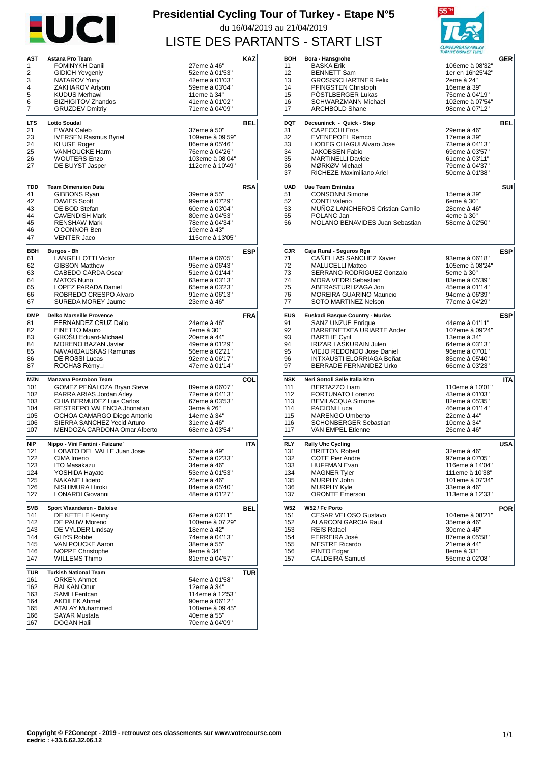

## **Presidential Cycling Tour of Turkey - Etape N°5** du 16/04/2019 au 21/04/2019 LISTE DES PARTANTS - START LIST



| AST        | Astana Pro Team                                                                                  |                                                                                                                                                                                                                                                                                                                                                                                                                                                                                           | KAZ                                                                                                                                                                                                                                                                                                             |
|------------|--------------------------------------------------------------------------------------------------|-------------------------------------------------------------------------------------------------------------------------------------------------------------------------------------------------------------------------------------------------------------------------------------------------------------------------------------------------------------------------------------------------------------------------------------------------------------------------------------------|-----------------------------------------------------------------------------------------------------------------------------------------------------------------------------------------------------------------------------------------------------------------------------------------------------------------|
| 1          | <b>FOMINYKH Daniil</b>                                                                           | 27eme à 46"                                                                                                                                                                                                                                                                                                                                                                                                                                                                               |                                                                                                                                                                                                                                                                                                                 |
|            |                                                                                                  |                                                                                                                                                                                                                                                                                                                                                                                                                                                                                           |                                                                                                                                                                                                                                                                                                                 |
|            |                                                                                                  |                                                                                                                                                                                                                                                                                                                                                                                                                                                                                           |                                                                                                                                                                                                                                                                                                                 |
| 5          |                                                                                                  |                                                                                                                                                                                                                                                                                                                                                                                                                                                                                           |                                                                                                                                                                                                                                                                                                                 |
| 6          | <b>BIZHIGITOV Zhandos</b>                                                                        | 41eme à 01'02"                                                                                                                                                                                                                                                                                                                                                                                                                                                                            |                                                                                                                                                                                                                                                                                                                 |
| 7          | <b>GRUZDEV Dmitriy</b>                                                                           | 71eme à 04'09"                                                                                                                                                                                                                                                                                                                                                                                                                                                                            |                                                                                                                                                                                                                                                                                                                 |
|            |                                                                                                  |                                                                                                                                                                                                                                                                                                                                                                                                                                                                                           |                                                                                                                                                                                                                                                                                                                 |
|            |                                                                                                  |                                                                                                                                                                                                                                                                                                                                                                                                                                                                                           | <b>BEL</b>                                                                                                                                                                                                                                                                                                      |
|            |                                                                                                  |                                                                                                                                                                                                                                                                                                                                                                                                                                                                                           |                                                                                                                                                                                                                                                                                                                 |
|            |                                                                                                  |                                                                                                                                                                                                                                                                                                                                                                                                                                                                                           |                                                                                                                                                                                                                                                                                                                 |
| 25         | <b>VANHOUCKE Harm</b>                                                                            | 76eme à 04'26"                                                                                                                                                                                                                                                                                                                                                                                                                                                                            |                                                                                                                                                                                                                                                                                                                 |
| 26         | <b>WOUTERS Enzo</b>                                                                              | 103eme à 08'04"                                                                                                                                                                                                                                                                                                                                                                                                                                                                           |                                                                                                                                                                                                                                                                                                                 |
| 27         | DE BUYST Jasper                                                                                  | 112eme à 10'49"                                                                                                                                                                                                                                                                                                                                                                                                                                                                           |                                                                                                                                                                                                                                                                                                                 |
|            |                                                                                                  |                                                                                                                                                                                                                                                                                                                                                                                                                                                                                           |                                                                                                                                                                                                                                                                                                                 |
| TDD        |                                                                                                  |                                                                                                                                                                                                                                                                                                                                                                                                                                                                                           | <b>RSA</b>                                                                                                                                                                                                                                                                                                      |
| 41         |                                                                                                  | 39eme à 55"                                                                                                                                                                                                                                                                                                                                                                                                                                                                               |                                                                                                                                                                                                                                                                                                                 |
| 42         | <b>DAVIES Scott</b>                                                                              | 99eme à 07'29"                                                                                                                                                                                                                                                                                                                                                                                                                                                                            |                                                                                                                                                                                                                                                                                                                 |
| 43         | DE BOD Stefan                                                                                    | 60eme à 03'04"                                                                                                                                                                                                                                                                                                                                                                                                                                                                            |                                                                                                                                                                                                                                                                                                                 |
| 44         |                                                                                                  |                                                                                                                                                                                                                                                                                                                                                                                                                                                                                           |                                                                                                                                                                                                                                                                                                                 |
|            |                                                                                                  |                                                                                                                                                                                                                                                                                                                                                                                                                                                                                           |                                                                                                                                                                                                                                                                                                                 |
|            |                                                                                                  |                                                                                                                                                                                                                                                                                                                                                                                                                                                                                           |                                                                                                                                                                                                                                                                                                                 |
|            |                                                                                                  |                                                                                                                                                                                                                                                                                                                                                                                                                                                                                           |                                                                                                                                                                                                                                                                                                                 |
| BBH        | Burgos - Bh                                                                                      |                                                                                                                                                                                                                                                                                                                                                                                                                                                                                           | ESP                                                                                                                                                                                                                                                                                                             |
| 61         | <b>LANGELLOTTI Victor</b>                                                                        | 88eme à 06'05"                                                                                                                                                                                                                                                                                                                                                                                                                                                                            |                                                                                                                                                                                                                                                                                                                 |
| 62         | <b>GIBSON Matthew</b>                                                                            | 95eme à 06'43"                                                                                                                                                                                                                                                                                                                                                                                                                                                                            |                                                                                                                                                                                                                                                                                                                 |
|            |                                                                                                  |                                                                                                                                                                                                                                                                                                                                                                                                                                                                                           |                                                                                                                                                                                                                                                                                                                 |
|            |                                                                                                  |                                                                                                                                                                                                                                                                                                                                                                                                                                                                                           |                                                                                                                                                                                                                                                                                                                 |
|            |                                                                                                  |                                                                                                                                                                                                                                                                                                                                                                                                                                                                                           |                                                                                                                                                                                                                                                                                                                 |
|            |                                                                                                  |                                                                                                                                                                                                                                                                                                                                                                                                                                                                                           |                                                                                                                                                                                                                                                                                                                 |
|            |                                                                                                  |                                                                                                                                                                                                                                                                                                                                                                                                                                                                                           |                                                                                                                                                                                                                                                                                                                 |
| <b>DMP</b> | <b>Delko Marseille Provence</b>                                                                  |                                                                                                                                                                                                                                                                                                                                                                                                                                                                                           | <b>FRA</b>                                                                                                                                                                                                                                                                                                      |
| 81         | FERNANDEZ CRUZ Delio                                                                             | 24eme à 46"                                                                                                                                                                                                                                                                                                                                                                                                                                                                               |                                                                                                                                                                                                                                                                                                                 |
|            |                                                                                                  |                                                                                                                                                                                                                                                                                                                                                                                                                                                                                           |                                                                                                                                                                                                                                                                                                                 |
|            | <b>MORENO BAZAN Javier</b>                                                                       | 49eme à 01'29"                                                                                                                                                                                                                                                                                                                                                                                                                                                                            |                                                                                                                                                                                                                                                                                                                 |
| 84         |                                                                                                  |                                                                                                                                                                                                                                                                                                                                                                                                                                                                                           |                                                                                                                                                                                                                                                                                                                 |
|            |                                                                                                  |                                                                                                                                                                                                                                                                                                                                                                                                                                                                                           |                                                                                                                                                                                                                                                                                                                 |
| 85         | NAVARDAUSKAS Ramunas                                                                             | 56eme à 02'21"                                                                                                                                                                                                                                                                                                                                                                                                                                                                            |                                                                                                                                                                                                                                                                                                                 |
| 86<br>87   | <b>DE ROSSI Lucas</b><br>ROCHAS Rémy□                                                            | 92eme à 06'17"<br>47eme à 01'14"                                                                                                                                                                                                                                                                                                                                                                                                                                                          |                                                                                                                                                                                                                                                                                                                 |
|            |                                                                                                  |                                                                                                                                                                                                                                                                                                                                                                                                                                                                                           |                                                                                                                                                                                                                                                                                                                 |
| <b>MZN</b> | Manzana Postobon Team                                                                            |                                                                                                                                                                                                                                                                                                                                                                                                                                                                                           | COL                                                                                                                                                                                                                                                                                                             |
| 101        | GOMEZ PEÑALOZA Bryan Steve                                                                       | 89eme à 06'07"                                                                                                                                                                                                                                                                                                                                                                                                                                                                            |                                                                                                                                                                                                                                                                                                                 |
| 102        | PARRA ARIAS Jordan Arley                                                                         | 72eme à 04'13"                                                                                                                                                                                                                                                                                                                                                                                                                                                                            |                                                                                                                                                                                                                                                                                                                 |
| 103<br>104 | CHIA BERMUDEZ Luis Carlos<br>RESTREPO VALENCIA Jhonatan                                          | 67eme à 03'53"<br>3eme à 26"                                                                                                                                                                                                                                                                                                                                                                                                                                                              |                                                                                                                                                                                                                                                                                                                 |
| 105        | OCHOA CAMARGO Diego Antonio                                                                      | 14eme à 34"                                                                                                                                                                                                                                                                                                                                                                                                                                                                               |                                                                                                                                                                                                                                                                                                                 |
| 106        | SIERRA SANCHEZ Yecid Arturo                                                                      | 31eme à 46"                                                                                                                                                                                                                                                                                                                                                                                                                                                                               |                                                                                                                                                                                                                                                                                                                 |
| 107        | MENDOZA CARDONA Omar Alberto                                                                     | 68eme à 03'54"                                                                                                                                                                                                                                                                                                                                                                                                                                                                            |                                                                                                                                                                                                                                                                                                                 |
|            |                                                                                                  |                                                                                                                                                                                                                                                                                                                                                                                                                                                                                           |                                                                                                                                                                                                                                                                                                                 |
| NIP        | Nippo - Vini Fantini - Faizane`                                                                  |                                                                                                                                                                                                                                                                                                                                                                                                                                                                                           | <b>ITA</b>                                                                                                                                                                                                                                                                                                      |
| 121<br>122 | LOBATO DEL VALLE Juan Jose<br>CIMA Imerio                                                        | 36eme à 49"<br>57eme à 02'33"                                                                                                                                                                                                                                                                                                                                                                                                                                                             |                                                                                                                                                                                                                                                                                                                 |
| 123        | <b>ITO Masakazu</b>                                                                              | 34eme à 46"                                                                                                                                                                                                                                                                                                                                                                                                                                                                               |                                                                                                                                                                                                                                                                                                                 |
| 124        | YOSHIDA Hayato                                                                                   | 53eme à 01'53"                                                                                                                                                                                                                                                                                                                                                                                                                                                                            |                                                                                                                                                                                                                                                                                                                 |
| 125        | <b>NAKANE Hideto</b>                                                                             | 25eme à 46"                                                                                                                                                                                                                                                                                                                                                                                                                                                                               |                                                                                                                                                                                                                                                                                                                 |
| 126        | NISHIMURA Hiroki                                                                                 | 84eme à 05'40"                                                                                                                                                                                                                                                                                                                                                                                                                                                                            |                                                                                                                                                                                                                                                                                                                 |
| 127        | LONARDI Giovanni                                                                                 | 48eme à 01'27"                                                                                                                                                                                                                                                                                                                                                                                                                                                                            |                                                                                                                                                                                                                                                                                                                 |
| <b>SVB</b> | Sport Vlaanderen - Baloise                                                                       |                                                                                                                                                                                                                                                                                                                                                                                                                                                                                           | <b>BEL</b>                                                                                                                                                                                                                                                                                                      |
| 141        | DE KETELE Kenny                                                                                  | 62eme à 03'11"                                                                                                                                                                                                                                                                                                                                                                                                                                                                            |                                                                                                                                                                                                                                                                                                                 |
| 142        | DE PAUW Moreno                                                                                   | 100eme à 07'29"                                                                                                                                                                                                                                                                                                                                                                                                                                                                           |                                                                                                                                                                                                                                                                                                                 |
| 143        | DE VYLDER Lindsav                                                                                | 18eme à 42"                                                                                                                                                                                                                                                                                                                                                                                                                                                                               |                                                                                                                                                                                                                                                                                                                 |
| 144        | <b>GHYS Robbe</b>                                                                                | 74eme à 04'13"                                                                                                                                                                                                                                                                                                                                                                                                                                                                            |                                                                                                                                                                                                                                                                                                                 |
| 145        | VAN POUCKE Aaron                                                                                 | 38eme à 55"                                                                                                                                                                                                                                                                                                                                                                                                                                                                               |                                                                                                                                                                                                                                                                                                                 |
| 146        | NOPPE Christophe                                                                                 | 9eme à 34"                                                                                                                                                                                                                                                                                                                                                                                                                                                                                |                                                                                                                                                                                                                                                                                                                 |
| 147        | <b>WILLEMS Thimo</b>                                                                             | 81eme à 04'57"                                                                                                                                                                                                                                                                                                                                                                                                                                                                            |                                                                                                                                                                                                                                                                                                                 |
| <b>TUR</b> | <b>Turkish National Team</b>                                                                     |                                                                                                                                                                                                                                                                                                                                                                                                                                                                                           | TUR                                                                                                                                                                                                                                                                                                             |
| 161        | <b>ORKEN Ahmet</b>                                                                               | 54eme à 01'58"                                                                                                                                                                                                                                                                                                                                                                                                                                                                            |                                                                                                                                                                                                                                                                                                                 |
| 162        | <b>BALKAN Onur</b>                                                                               | 12eme à 34"                                                                                                                                                                                                                                                                                                                                                                                                                                                                               |                                                                                                                                                                                                                                                                                                                 |
| 163        | <b>SAMLI Feritcan</b>                                                                            | 114eme à 12'53"                                                                                                                                                                                                                                                                                                                                                                                                                                                                           |                                                                                                                                                                                                                                                                                                                 |
| 164        | <b>AKDILEK Ahmet</b>                                                                             | 90eme à 06'12"                                                                                                                                                                                                                                                                                                                                                                                                                                                                            |                                                                                                                                                                                                                                                                                                                 |
| 165<br>166 | <b>ATALAY Muhammed</b><br><b>SAYAR Mustafa</b>                                                   | 108eme à 09'45"<br>40eme à 55"                                                                                                                                                                                                                                                                                                                                                                                                                                                            |                                                                                                                                                                                                                                                                                                                 |
|            | 2<br>3<br>4<br>LTS<br>21<br>23<br>24<br>45<br>46<br>47<br>63<br>64<br>65<br>66<br>67<br>82<br>83 | <b>GIDICH Yevgeniy</b><br>NATAROV Yuriy<br>ZAKHAROV Artyom<br><b>KUDUS Merhawi</b><br><b>Lotto Soudal</b><br><b>EWAN Caleb</b><br><b>IVERSEN Rasmus Byriel</b><br><b>KLUGE Roger</b><br><b>Team Dimension Data</b><br>GIBBONS Ryan<br><b>CAVENDISH Mark</b><br><b>RENSHAW Mark</b><br>O'CONNOR Ben<br><b>VENTER Jaco</b><br>CABEDO CARDA Oscar<br><b>MATOS Nuno</b><br>LOPEZ PARADA Daniel<br>ROBREDO CRESPO Alvaro<br>SUREDA MOREY Jaume<br>FINETTO Mauro<br><b>GROSU Eduard-Michael</b> | 52eme à 01'53"<br>42eme à 01'03"<br>59eme à 03'04"<br>11eme à 34"<br>37eme à 50"<br>109eme à 09'59"<br>86eme à 05'46"<br>80eme à 04'53"<br>78eme à 04'34"<br>19eme à 43"<br>115eme à 13'05"<br>51eme à 01'44"<br>63eme à 03'13"<br>65eme à 03'23"<br>91eme à 06'13"<br>23eme à 46"<br>7eme à 30"<br>20eme à 44" |

|            |                                 | <u>UMMUNDAJAAIVUU</u><br>TURKIYE BISIKLET TURU |            |
|------------|---------------------------------|------------------------------------------------|------------|
| BOH        | Bora - Hansgrohe                |                                                | GER        |
| 11         | BASKA Erik                      | 106eme à 08'32"                                |            |
| 12         | <b>BENNETT Sam</b>              | 1er en 16h25'42"                               |            |
| 13         | <b>GROSSSCHARTNER Felix</b>     | 2eme à 24"                                     |            |
| 14         | PFINGSTEN Christoph             | 16eme à 39"                                    |            |
| 15         | POSTLBERGER Lukas               | 75eme à 04'19"                                 |            |
| 16         | <b>SCHWARZMANN Michael</b>      | 102eme à 07'54"                                |            |
| 17         | ARCHBOLD Shane                  | 98eme à 07'12"                                 |            |
|            |                                 |                                                |            |
| DQT        | Deceuninck - Quick - Step       |                                                | BEL        |
| 31         | <b>CAPECCHI Eros</b>            | 29eme à 46"                                    |            |
| 32         | <b>EVENEPOEL Remco</b>          | 17eme à 39"                                    |            |
| 33         | <b>HODEG CHAGUI Alvaro Jose</b> | 73eme à 04'13"                                 |            |
| 34         | JAKOBSEN Fabio                  | 69eme à 03'57"                                 |            |
| 35         | <b>MARTINELLI Davide</b>        | 61eme à 03'11"                                 |            |
|            |                                 |                                                |            |
| 36         | MØRKØV Michael                  | 79eme à 04'37"                                 |            |
| 37         | RICHEZE Maximiliano Ariel       | 50eme à 01'38"                                 |            |
| <b>UAD</b> | <b>Uae Team Emirates</b>        |                                                | SUI        |
| 51         | <b>CONSONNI Simone</b>          | 15eme à 39"                                    |            |
|            |                                 |                                                |            |
| 52         | <b>CONTI Valerio</b>            | 6eme à 30"                                     |            |
| 53         | MUNOZ LANCHEROS Cristian Camilo | 28eme à 46"                                    |            |
| 55         | POLANC Jan                      | 4eme à 30"                                     |            |
| 56         | MOLANO BENAVIDES Juan Sebastian | 58eme à 02'50"                                 |            |
|            |                                 |                                                |            |
|            |                                 |                                                |            |
| CJR        | Caja Rural - Seguros Rga        |                                                | ESP        |
|            |                                 |                                                |            |
| 71         | CAÑELLAS SANCHEZ Xavier         | 93eme à 06'18"                                 |            |
| 72         | <b>MALUCELLI Matteo</b>         | 105eme à 08'24"                                |            |
| 73         | SERRANO RODRIGUEZ Gonzalo       | 5eme à 30"                                     |            |
| 74         | <b>MORA VEDRI Sebastian</b>     | 83eme à 05'39"                                 |            |
| 75         | ABERASTURI IZAGA Jon            | 45eme à 01'14"                                 |            |
| 76         | <b>MOREIRA GUARINO Mauricio</b> | 94eme à 06'39"                                 |            |
| 77         | SOTO MARTINEZ Nelson            | 77eme à 04'29"                                 |            |
|            |                                 |                                                |            |
|            |                                 |                                                |            |
| <b>EUS</b> | Euskadi Basque Country - Murias |                                                | <b>ESP</b> |
| 91         | <b>SANZ UNZUE Enrique</b>       | 44eme à 01'11"                                 |            |
| 92         | BARRENETXEA URIARTE Ander       | 107eme à 09'24"                                |            |
| 93         | <b>BARTHE Cyril</b>             | 13eme à 34"                                    |            |
| 94         | <b>IRIZAR LASKURAIN Julen</b>   | 64eme à 03'13"                                 |            |
| 95         | VIEJO REDONDO Jose Daniel       | 96eme à 07'01"                                 |            |
| 96         | INTXAUSTI ELORRIAGA Beñat       | 85eme à 05'40"                                 |            |
| 97         | <b>BERRADE FERNANDEZ Urko</b>   | 66eme à 03'23"                                 |            |
|            |                                 |                                                |            |
| <b>NSK</b> | Neri Sottoli Selle Italia Ktm   |                                                | <b>ITA</b> |
| 111        | <b>BERTAZZO Liam</b>            | 110eme à 10'01"                                |            |
| 112        | FORTUNATO Lorenzo               | 43eme à 01'03"                                 |            |
| 113        | <b>BEVILACQUA Simone</b>        | 82eme à 05'35"                                 |            |
| 114        | <b>PACIONI Luca</b>             | 46eme à 01'14"                                 |            |
| 115        | <b>MARENGO Umberto</b>          | 22eme à 44"                                    |            |
| 116        | <b>SCHONBERGER Sebastian</b>    | 10eme à 34"                                    |            |
|            | VAN EMPEL Etienne               | 26eme à 46"                                    |            |
| 117        |                                 |                                                |            |
| <b>RLY</b> |                                 |                                                | USA        |
| 131        | <b>Rally Uhc Cycling</b>        |                                                |            |
|            | <b>BRITTON Robert</b>           | 32eme à 46"                                    |            |
| 132        | <b>COTE Pier Andre</b>          | 97eme à 07'05"                                 |            |
| 133        | HUFFMAN Evan                    | 116eme à 14'04"                                |            |
| 134        | <b>MAGNER Tyler</b>             | 111eme à 10'38"                                |            |
| 135        | MURPHY John                     | 101eme à 07'34"                                |            |
| 136        | <b>MURPHY Kyle</b>              | 33eme à 46"                                    |            |
| 137        | <b>ORONTE Emerson</b>           | 113eme à 12'33"                                |            |
|            |                                 |                                                |            |
| <b>W52</b> | W52 / Fc Porto                  |                                                | <b>POR</b> |
| 151        | CESAR VELOSO Gustavo            | 104eme à 08'21"                                |            |
| 152        | <b>ALARCON GARCIA Raul</b>      | 35eme à 46"                                    |            |
| 153        | REIS Rafael                     | 30eme à 46"                                    |            |
| 154        | FERREIRA José                   | 87eme à 05'58"                                 |            |
| 155        | <b>MESTRE Ricardo</b>           | 21eme à 44"                                    |            |
| 156        | <b>PINTO Edgar</b>              | 8eme à 33"                                     |            |
| 157        | <b>CALDEIRA Samuel</b>          | 55eme à 02'08"                                 |            |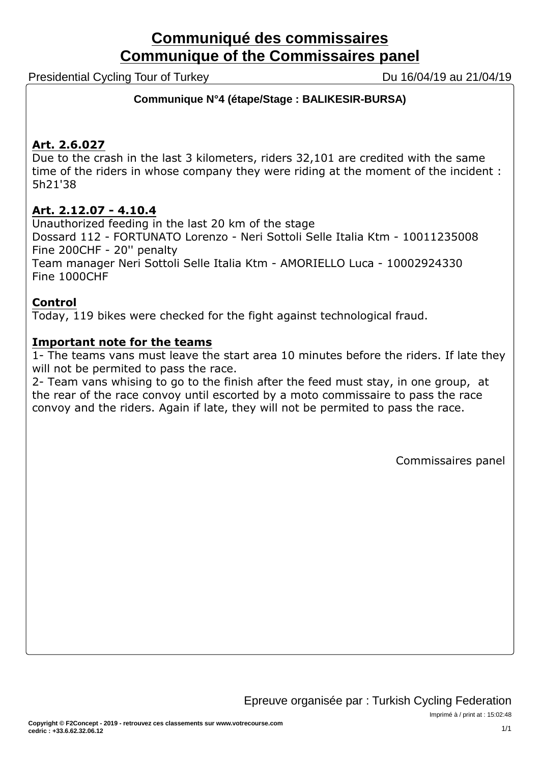# **Communiqué des commissaires Communique of the Commissaires panel**

Presidential Cycling Tour of Turkey Du 16/04/19 au 21/04/19

# **Communique N°4 (étape/Stage : BALIKESIR-BURSA)**

# **Art. 2.6.027**

Due to the crash in the last 3 kilometers, riders 32,101 are credited with the same time of the riders in whose company they were riding at the moment of the incident : 5h21'38

# **Art. 2.12.07 - 4.10.4**

Unauthorized feeding in the last 20 km of the stage

Dossard 112 - FORTUNATO Lorenzo - Neri Sottoli Selle Italia Ktm - 10011235008 Fine 200CHF - 20'' penalty

Team manager Neri Sottoli Selle Italia Ktm - AMORIELLO Luca - 10002924330 Fine 1000CHF

# **Control**

Today, 119 bikes were checked for the fight against technological fraud.

# **Important note for the teams**

1- The teams vans must leave the start area 10 minutes before the riders. If late they will not be permited to pass the race.

2- Team vans whising to go to the finish after the feed must stay, in one group, at the rear of the race convoy until escorted by a moto commissaire to pass the race convoy and the riders. Again if late, they will not be permited to pass the race.

Commissaires panel

Imprimé à / print at : 15:02:48